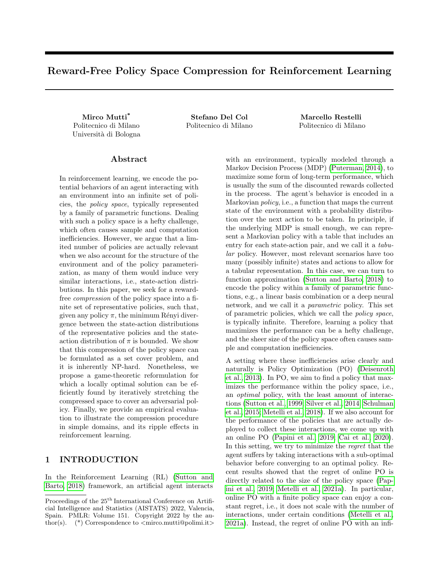# Reward-Free Policy Space Compression for Reinforcement Learning

Politecnico di Milano Politecnico di Milano Politecnico di Milano Università di Bologna

Mirco Mutti\* Stefano Del Col Marcello Restelli

## Abstract

In reinforcement learning, we encode the potential behaviors of an agent interacting with an environment into an infinite set of policies, the policy space, typically represented by a family of parametric functions. Dealing with such a policy space is a hefty challenge, which often causes sample and computation inefficiencies. However, we argue that a limited number of policies are actually relevant when we also account for the structure of the environment and of the policy parameterization, as many of them would induce very similar interactions, i.e., state-action distributions. In this paper, we seek for a rewardfree compression of the policy space into a finite set of representative policies, such that, given any policy  $\pi$ , the minimum Rényi divergence between the state-action distributions of the representative policies and the stateaction distribution of  $\pi$  is bounded. We show that this compression of the policy space can be formulated as a set cover problem, and it is inherently NP-hard. Nonetheless, we propose a game-theoretic reformulation for which a locally optimal solution can be efficiently found by iteratively stretching the compressed space to cover an adversarial policy. Finally, we provide an empirical evaluation to illustrate the compression procedure in simple domains, and its ripple effects in reinforcement learning.

## 1 INTRODUCTION

In the Reinforcement Learning (RL) [\(Sutton and](#page-10-0) [Barto, 2018\)](#page-10-0) framework, an artificial agent interacts with an environment, typically modeled through a Markov Decision Process (MDP) [\(Puterman, 2014\)](#page-9-0), to maximize some form of long-term performance, which is usually the sum of the discounted rewards collected in the process. The agent's behavior is encoded in a Markovian policy, i.e., a function that maps the current state of the environment with a probability distribution over the next action to be taken. In principle, if the underlying MDP is small enough, we can represent a Markovian policy with a table that includes an entry for each state-action pair, and we call it a tabular policy. However, most relevant scenarios have too many (possibly infinite) states and actions to allow for a tabular representation. In this case, we can turn to function approximation [\(Sutton and Barto, 2018\)](#page-10-0) to encode the policy within a family of parametric functions, e.g., a linear basis combination or a deep neural network, and we call it a parametric policy. This set of parametric policies, which we call the policy space, is typically infinite. Therefore, learning a policy that maximizes the performance can be a hefty challenge, and the sheer size of the policy space often causes sample and computation inefficiencies.

A setting where these inefficiencies arise clearly and naturally is Policy Optimization (PO) [\(Deisenroth](#page-9-1) [et al., 2013\)](#page-9-1). In PO, we aim to find a policy that maximizes the performance within the policy space, i.e., an optimal policy, with the least amount of interactions [\(Sutton et al., 1999;](#page-10-1) [Silver et al., 2014;](#page-10-2) [Schulman](#page-10-3) [et al., 2015;](#page-10-3) [Metelli et al., 2018\)](#page-9-2). If we also account for the performance of the policies that are actually deployed to collect these interactions, we come up with an online PO [\(Papini et al., 2019;](#page-9-3) [Cai et al., 2020\)](#page-9-4). In this setting, we try to minimize the regret that the agent suffers by taking interactions with a sub-optimal behavior before converging to an optimal policy. Recent results showed that the regret of online PO is directly related to the size of the policy space [\(Pap](#page-9-3)[ini et al., 2019;](#page-9-3) [Metelli et al., 2021a\)](#page-9-5). In particular, online PO with a finite policy space can enjoy a constant regret, i.e., it does not scale with the number of interactions, under certain conditions [\(Metelli et al.,](#page-9-5) [2021a\)](#page-9-5). Instead, the regret of online PO with an infi-

Proceedings of the  $25^{\mathrm{th}}$  International Conference on Artificial Intelligence and Statistics (AISTATS) 2022, Valencia, Spain. PMLR: Volume 151. Copyright 2022 by the author(s).  $(*)$  Correspondence to  $\langle$ mirco.mutti@polimi.it $\rangle$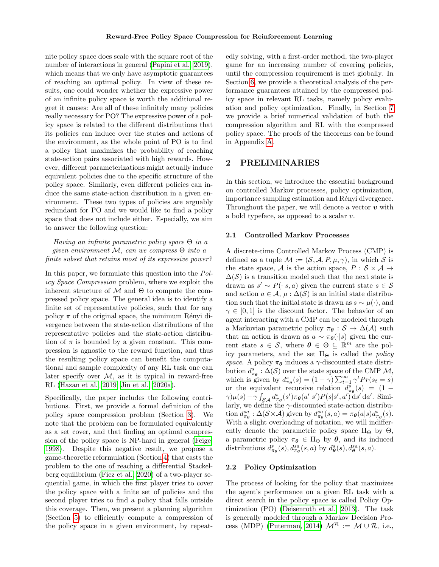nite policy space does scale with the square root of the number of interactions in general [\(Papini et al., 2019\)](#page-9-3), which means that we only have asymptotic guarantees of reaching an optimal policy. In view of these results, one could wonder whether the expressive power of an infinite policy space is worth the additional regret it causes: Are all of these infinitely many policies really necessary for PO? The expressive power of a policy space is related to the different distributions that its policies can induce over the states and actions of the environment, as the whole point of PO is to find a policy that maximizes the probability of reaching state-action pairs associated with high rewards. However, different parameterizations might actually induce equivalent policies due to the specific structure of the policy space. Similarly, even different policies can induce the same state-action distribution in a given environment. These two types of policies are arguably redundant for PO and we would like to find a policy space that does not include either. Especially, we aim to answer the following question:

Having an infinite parametric policy space  $\Theta$  in a given environment  $\mathcal{M}$ , can we compress  $\Theta$  into a finite subset that retains most of its expressive power?

In this paper, we formulate this question into the Policy Space Compression problem, where we exploit the inherent structure of  $\mathcal M$  and  $\Theta$  to compute the compressed policy space. The general idea is to identify a finite set of representative policies, such that for any policy  $\pi$  of the original space, the minimum Rényi divergence between the state-action distributions of the representative policies and the state-action distribution of  $\pi$  is bounded by a given constant. This compression is agnostic to the reward function, and thus the resulting policy space can benefit the computational and sample complexity of any RL task one can later specify over  $M$ , as it is typical in reward-free RL [\(Hazan et al., 2019;](#page-9-6) [Jin et al., 2020a\)](#page-9-7).

Specifically, the paper includes the following contributions. First, we provide a formal definition of the policy space compression problem (Section [3\)](#page-2-0). We note that the problem can be formulated equivalently as a set cover, and that finding an optimal compression of the policy space is NP-hard in general [\(Feige,](#page-9-8) [1998\)](#page-9-8). Despite this negative result, we propose a game-theoretic reformulation (Section [4\)](#page-3-0) that casts the problem to the one of reaching a differential Stackelberg equilibrium [\(Fiez et al., 2020\)](#page-9-9) of a two-player sequential game, in which the first player tries to cover the policy space with a finite set of policies and the second player tries to find a policy that falls outside this coverage. Then, we present a planning algorithm (Section [5\)](#page-4-0) to efficiently compute a compression of the policy space in a given environment, by repeatedly solving, with a first-order method, the two-player game for an increasing number of covering policies, until the compression requirement is met globally. In Section [6,](#page-5-0) we provide a theoretical analysis of the performance guarantees attained by the compressed policy space in relevant RL tasks, namely policy evaluation and policy optimization. Finally, in Section [7](#page-6-0) we provide a brief numerical validation of both the compression algorithm and RL with the compressed policy space. The proofs of the theorems can be found in Appendix [A.](#page-11-0)

## 2 PRELIMINARIES

In this section, we introduce the essential background on controlled Markov processes, policy optimization, importance sampling estimation and Rényi divergence. Throughout the paper, we will denote a vector  $v$  with a bold typeface, as opposed to a scalar v.

#### 2.1 Controlled Markov Processes

A discrete-time Controlled Markov Process (CMP) is defined as a tuple  $\mathcal{M} := (\mathcal{S}, \mathcal{A}, P, \mu, \gamma)$ , in which  $\mathcal{S}$  is the state space, A is the action space,  $P : \mathcal{S} \times \mathcal{A} \rightarrow$  $\Delta(\mathcal{S})$  is a transition model such that the next state is drawn as  $s' \sim P(\cdot|s, a)$  given the current state  $s \in \mathcal{S}$ and action  $a \in \mathcal{A}, \mu : \Delta(\mathcal{S})$  is an initial state distribution such that the initial state is drawn as  $s \sim \mu(\cdot)$ , and  $\gamma \in [0, 1]$  is the discount factor. The behavior of an agent interacting with a CMP can be modeled through a Markovian parametric policy  $\pi_{\theta} : S \to \Delta(\mathcal{A})$  such that an action is drawn as  $a \sim \pi_{\theta}(\cdot|s)$  given the current state  $s \in \mathcal{S}$ , where  $\boldsymbol{\theta} \in \Theta \subseteq \mathbb{R}^m$  are the policy parameters, and the set  $\Pi_{\Theta}$  is called the *policy* space. A policy  $\pi_{\theta}$  induces a  $\gamma$ -discounted state distribution  $d_{\pi_{\theta}}^s : \Delta(\mathcal{S})$  over the state space of the CMP  $\mathcal{M},$ which is given by  $d_{\pi_{\theta}}^{s}(s) = (1 - \gamma) \sum_{t=1}^{\infty} \gamma^{t} Pr(s_t = s)$ or the equivalent recursive relation  $d_{\pi_{\theta}}^{s}(s) = (1 \gamma$ ) $\mu(s) - \gamma \int_{\mathcal{SA}} d_{\pi_{\theta}}^{s}(s') \pi_{\theta}(a'|s') P(s|s', a') ds' da'.$  Similarly, we define the  $\gamma\text{-discounted state-action distribution}$ tion  $d_{\pi_{\theta}}^{sa}$ :  $\Delta(\mathcal{S} \times \mathcal{A})$  given by  $d_{\pi_{\theta}}^{sa}(s, a) = \pi_{\theta}(a|s)d_{\pi_{\theta}}^{s}(s)$ . With a slight overloading of notation, we will indifferently denote the parametric policy space  $\Pi_{\Theta}$  by  $\Theta$ , a parametric policy  $\pi_{\theta} \in \Pi_{\Theta}$  by  $\theta$ , and its induced distributions  $d_{\pi_{\theta}}^{s}(s), d_{\pi_{\theta}}^{sa}(s, a)$  by  $d_{\theta}^{s}(s), d_{\theta}^{sa}(s, a)$ .

#### <span id="page-1-0"></span>2.2 Policy Optimization

The process of looking for the policy that maximizes the agent's performance on a given RL task with a direct search in the policy space is called Policy Optimization (PO) [\(Deisenroth et al., 2013\)](#page-9-1). The task is generally modeled through a Markov Decision Pro-cess (MDP) [\(Puterman, 2014\)](#page-9-0)  $\mathcal{M}^{\mathcal{R}} := \mathcal{M} \cup \mathcal{R}$ , i.e.,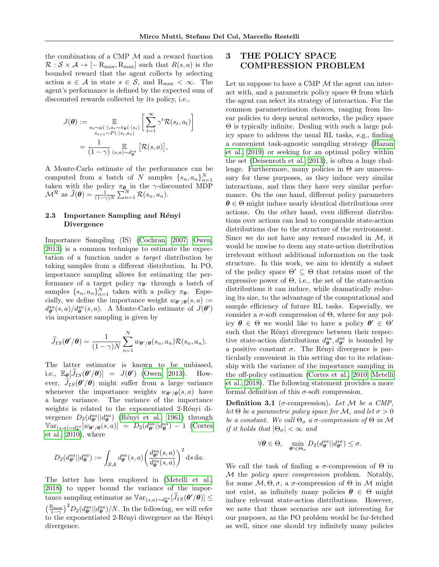1

the combination of a CMP  $\mathcal M$  and a reward function  $\mathcal{R}: \mathcal{S} \times \mathcal{A} \rightarrow [-R_{\text{max}}, R_{\text{max}}]$  such that  $R(s, a)$  is the bounded reward that the agent collects by selecting action  $a \in \mathcal{A}$  in state  $s \in \mathcal{S}$ , and  $R_{\text{max}} < \infty$ . The agent's performance is defined by the expected sum of discounted rewards collected by its policy, i.e.,

$$
J(\boldsymbol{\theta}) := \mathop{\mathbb{E}}_{\substack{s_0 \sim \mu(\cdot), a_t \sim \pi_{\boldsymbol{\theta}}(\cdot | s_t) \\ s_{t+1} \sim P(\cdot | s_t, a_t)}} \left[ \sum_{t=1}^{\infty} \gamma^t \mathcal{R}(s_t, a_t) \right]
$$

$$
= \frac{1}{(1 - \gamma)} \mathop{\mathbb{E}}_{(s, a) \sim d_{\boldsymbol{\theta}}^{sa}} \left[ \mathcal{R}(s, a) \right],
$$

A Monte-Carlo estimate of the performance can be computed from a batch of N samples  $\{s_n, a_n\}_{n=1}^N$ taken with the policy  $\pi_{\theta}$  in the  $\gamma$ -discounted MDP  $\mathcal{M}^{\mathcal{R}}$  as  $\widehat{J}(\boldsymbol{\theta}) = \frac{1}{(1-\gamma)N} \sum_{n=1}^{N} \mathcal{R}(s_n, a_n).$ 

### 2.3 Importance Sampling and Rényi Divergence

Importance Sampling (IS) [\(Cochran, 2007;](#page-9-10) [Owen,](#page-9-11) [2013\)](#page-9-11) is a common technique to estimate the expectation of a function under a target distribution by taking samples from a different distribution. In PO, importance sampling allows for estimating the performance of a target policy  $\pi_{\theta}$  through a batch of samples  $\{s_n, a_n\}_{n=1}^N$  taken with a policy  $\pi_{\theta}$ . Especially, we define the importance weight  $w_{\theta'/\theta}(s, a) :=$  $d_{\theta}^{sa}(s, a)/d_{\theta}^{sa}(s, a)$ . A Monte-Carlo estimate of  $J(\theta')$ via importance sampling is given by

$$
\widehat{J}_{IS}(\boldsymbol{\theta}'/\boldsymbol{\theta}) = \frac{1}{(1-\gamma)N} \sum_{n=1}^{N} w_{\boldsymbol{\theta}'/\boldsymbol{\theta}}(s_n, a_n) \mathcal{R}(s_n, a_n).
$$

The latter estimator is known to be unbiased, i.e.,  $\mathbb{E}_{\theta}[\widehat{J}_{IS}(\theta'/\theta)] = J(\theta')$  [\(Owen, 2013\)](#page-9-11). However,  $J_{IS}(\theta'/\theta)$  might suffer from a large variance whenever the importance weights  $w_{\theta'}/\theta(s, a)$  have a large variance. The variance of the importance weights is related to the exponentiated 2-Rényi divergence  $D_2(d_{\theta'}^{sa}||d_{\theta}^{sa})$  (Rényi et al., 1961) through  $\operatorname{Var}_{(s,a)\sim d_{\boldsymbol{\theta}}^{sa}}[w_{\boldsymbol{\theta}'/\boldsymbol{\theta}}(s,a)] = D_2(d_{\boldsymbol{\theta}'}^{sa}||d_{\boldsymbol{\theta}}^{sa}) - 1$  [\(Cortes](#page-9-13) et al.,  $2010$ , where

$$
D_2(d_{\theta'}^{sa}||d_{\theta}^{sa}) := \int_{\mathcal{SA}} d_{\theta}^{sa}(s, a) \left(\frac{d_{\theta'}^{sa}(s, a)}{d_{\theta}^{sa}(s, a)}\right)^2 ds da.
$$

The latter has been employed in [\(Metelli et al.,](#page-9-2) [2018\)](#page-9-2) to upper bound the variance of the importance sampling estimator as  $\mathbb{V}\text{ar}_{(s,a)\sim d_{\theta}^{sa}}[\widehat{J}_{IS}(\theta'/\theta)] \leq$  $\left(\frac{R_{\text{max}}}{1-\gamma}\right)^2 D_2(d_{\theta'}^{sa}||d_{\theta}^{sa})/N$ . In the following, we will refer  $\left( \begin{array}{c} 1-\gamma & D_2(\omega_{\theta'}||\omega_{\theta}^2) \end{array} \right)$  for the exponentiated 2-Rényi divergence as the Rényi divergence.

## <span id="page-2-0"></span>3 THE POLICY SPACE COMPRESSION PROBLEM

Let us suppose to have a CMP  $\mathcal M$  the agent can interact with, and a parametric policy space  $\Theta$  from which the agent can select its strategy of interaction. For the common parameterization choices, ranging from linear policies to deep neural networks, the policy space Θ is typically infinite. Dealing with such a large policy space to address the usual RL tasks, e.g., finding a convenient task-agnostic sampling strategy [\(Hazan](#page-9-6) [et al., 2019\)](#page-9-6) or seeking for an optimal policy within the set [\(Deisenroth et al., 2013\)](#page-9-1), is often a huge challenge. Furthermore, many policies in  $\Theta$  are unnecessary for these purposes, as they induce very similar interactions, and thus they have very similar performance. On the one hand, different policy parameters  $\theta \in \Theta$  might induce nearly identical distributions over actions. On the other hand, even different distributions over actions can lead to comparable state-action distributions due to the structure of the environment. Since we do not have any reward encoded in  $\mathcal{M}$ , it would be unwise to deem any state-action distribution irrelevant without additional information on the task structure. In this work, we aim to identify a subset of the policy space  $\Theta' \subseteq \Theta$  that retains most of the expressive power of  $\Theta$ , i.e., the set of the state-action distributions it can induce, while dramatically reducing its size, to the advantage of the computational and sample efficiency of future RL tasks. Especially, we consider a  $\sigma$ -soft compression of  $\Theta$ , where for any policy  $\theta \in \Theta$  we would like to have a policy  $\theta' \in \Theta'$ such that the Rényi divergence between their respective state-action distributions  $d_{\theta}^{sa}$ ,  $d_{\theta'}^{sa}$  is bounded by a positive constant  $\sigma$ . The Rényi divergence is particularly convenient in this setting due to its relationship with the variance of the importance sampling in the off-policy estimation [\(Cortes et al., 2010;](#page-9-13) [Metelli](#page-9-2) [et al., 2018\)](#page-9-2). The following statement provides a more formal definition of this  $\sigma$ -soft compression.

<span id="page-2-1"></span>**Definition 3.1** ( $\sigma$ -compression). Let M be a CMP, let  $\Theta$  be a parametric policy space for M, and let  $\sigma > 0$ be a constant. We call  $\Theta_{\sigma}$  a  $\sigma$ -compression of  $\Theta$  in M if it holds that  $|\Theta_{\sigma}| < \infty$  and

$$
\forall \theta \in \Theta, \quad \min_{\theta' \in \Theta_{\sigma}} D_2(d_{\theta}^{sa} || d_{\theta'}^{sa}) \leq \sigma.
$$

We call the task of finding a  $\sigma$ -compression of  $\Theta$  in M the policy space compression problem. Notably, for some  $\mathcal{M}, \Theta, \sigma$ , a  $\sigma$ -compression of  $\Theta$  in  $\mathcal M$  might not exist, as infinitely many policies  $\theta \in \Theta$  might induce relevant state-action distributions. However, we note that those scenarios are not interesting for our purposes, as the PO problem would be far-fetched as well, since one should try infinitely many policies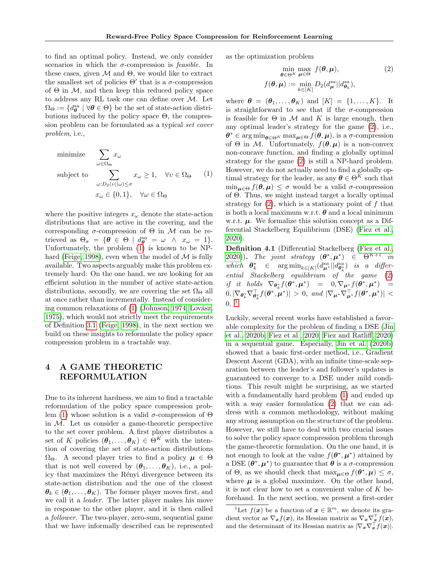to find an optimal policy. Instead, we only consider scenarios in which the  $\sigma$ -compression is *feasible*. In these cases, given  $\mathcal M$  and  $\Theta$ , we would like to extract the smallest set of policies  $\Theta'$  that is a  $\sigma$ -compression of  $\Theta$  in  $\mathcal{M}$ , and then keep this reduced policy space to address any RL task one can define over  $M$ . Let  $\Omega_{\Theta} := \{ d_{\theta}^{sa} \mid \forall \theta \in \Theta \}$  be the set of state-action distributions induced by the policy space  $\Theta$ , the compression problem can be formulated as a typical set cover problem, i.e.,

<span id="page-3-1"></span>minimize 
$$
\sum_{\omega \in \Omega_{\Theta}} x_{\omega}
$$
  
\nsubject to  $\sum_{\omega: D_2(v||\omega) \le \sigma} x_{\omega} \ge 1, \quad \forall v \in \Omega_{\Theta}$  (1)  
\n $x_{\omega} \in \{0, 1\}, \quad \forall \omega \in \Omega_{\Theta}$ 

where the positive integers  $x_{\omega}$  denote the state-action distributions that are active in the covering, and the corresponding  $\sigma$ -compression of  $\Theta$  in M can be retrieved as  $\Theta_{\sigma} = {\theta \in \Theta \mid d_{\theta}^{sa} = \omega \ \wedge \ x_{\omega} = 1}.$ Unfortunately, the problem [\(1\)](#page-3-1) is known to be NP-hard [\(Feige, 1998\)](#page-9-8), even when the model of  $\mathcal M$  is fully available. Two aspects arguably make this problem extremely hard: On the one hand, we are looking for an efficient solution in the number of active state-action distributions, secondly, we are covering the set  $\Omega_{\Theta}$  all at once rather than incrementally. Instead of considering common relaxations of  $(1)$  [\(Johnson, 1974;](#page-9-14) Lovász, [1975\)](#page-9-15), which would not strictly meet the requirements of Definition [3.1](#page-2-1) [\(Feige, 1998\)](#page-9-8), in the next section we build on these insights to reformulate the policy space compression problem in a tractable way.

## <span id="page-3-0"></span>4 A GAME THEORETIC REFORMULATION

Due to its inherent hardness, we aim to find a tractable reformulation of the policy space compression prob-lem [\(1\)](#page-3-1) whose solution is a valid  $\sigma$ -compression of  $\Theta$ in  $M$ . Let us consider a game-theoretic perspective to the set cover problem. A first player distributes a set of K policies  $(\theta_1, \ldots, \theta_K) \in \tilde{\Theta}^{K}$  with the intention of covering the set of state-action distributions  $\Omega_{\Theta}$ . A second player tries to find a policy  $\mu \in \Theta$ that is not well covered by  $(\theta_1, \ldots, \theta_K)$ , i.e., a policy that maximizes the Rényi divergence between its state-action distribution and the one of the closest  $\theta_k \in (\theta_1, \ldots, \theta_K)$ . The former player moves first, and we call it a leader. The latter player makes his move in response to the other player, and it is then called a follower. The two-player, zero-sum, sequential game that we have informally described can be represented

as the optimization problem

<span id="page-3-2"></span>
$$
\min_{\boldsymbol{\theta} \in \Theta^K} \max_{\boldsymbol{\mu} \in \Theta} f(\boldsymbol{\theta}, \boldsymbol{\mu}),
$$
\n
$$
f(\boldsymbol{\theta}, \boldsymbol{\mu}) := \min_{k \in [K]} D_2(d_{\boldsymbol{\mu}}^{sa} || d_{\boldsymbol{\theta}_k}^{sa}),
$$
\n(2)

where  $\boldsymbol{\theta} = (\boldsymbol{\theta}_1, \dots, \boldsymbol{\theta}_K)$  and  $[K] = \{1, \dots, K\}$ . It is straightforward to see that if the  $\sigma$ -compression is feasible for  $\Theta$  in M and K is large enough, then any optimal leader's strategy for the game [\(2\)](#page-3-2), i.e.,  $\boldsymbol{\theta}^* \in \arg \min_{\boldsymbol{\theta} \in \Theta^K} \max_{\boldsymbol{\mu} \in \Theta} f(\boldsymbol{\theta}, \boldsymbol{\mu}), \text{ is a } \sigma\text{-compression}$ of  $\Theta$  in M. Unfortunately,  $f(\theta, \mu)$  is a non-convex non-concave function, and finding a globally optimal strategy for the game [\(2\)](#page-3-2) is still a NP-hard problem. However, we do not actually need to find a globally optimal strategy for the leader, as any  $\boldsymbol{\theta} \in \Theta^K$  such that  $\min_{\mu \in \Theta} f(\theta, \mu) \leq \sigma$  would be a valid  $\sigma$ -compression of Θ. Thus, we might instead target a locally optimal strategy for  $(2)$ , which is a stationary point of f that is both a local maximum w.r.t.  $\boldsymbol{\theta}$  and a local minimum w.r.t.  $\mu$ . We formalize this solution concept as a Differential Stackelberg Equilibrium (DSE) [\(Fiez et al.,](#page-9-9) [2020\)](#page-9-9).

Definition 4.1 (Differential Stackelberg [\(Fiez et al.,](#page-9-9) [2020\)](#page-9-9)). The joint strategy  $(\boldsymbol{\theta}^*, \boldsymbol{\mu}^*)$   $\in \Theta^{K+1}$  in  $\begin{array}{rcl}\textit{which} & \theta^*_k & \in & \arg\min_{k\in[K]}(d^{sa}_{\mu^*}||d^{sa}_{\theta^*_{k}}) & \textit{is a differ}.\end{array}$  $i$  ential Stackelberg equilibrium of the game [\(2\)](#page-3-2) if it holds  $\nabla_{\theta^*_k} f(\theta^*, \mu^*) = 0, \nabla_{\mu^*} f(\theta^*, \mu^*) =$  $|0, |\nabla_{\boldsymbol{\theta}_k^*} \nabla_{\boldsymbol{\theta}_k^*}^{\perp} f(\boldsymbol{\theta}^*, \boldsymbol{\mu}^*)| > 0$ , and  $|\nabla_{\boldsymbol{\mu}^*} \nabla_{\boldsymbol{\mu}^*}^{\perp} f(\boldsymbol{\theta}^*, \boldsymbol{\mu}^*)| <$  $0.$ <sup>[1](#page-3-3)</sup>

Luckily, several recent works have established a favorable complexity for the problem of finding a DSE [\(Jin](#page-9-16) [et al., 2020b;](#page-9-16) [Fiez et al., 2020;](#page-9-9) [Fiez and Ratliff, 2020\)](#page-9-17) in a sequential game. Especially, [Jin et al.](#page-9-16) [\(2020b\)](#page-9-16) showed that a basic first-order method, i.e., Gradient Descent Ascent (GDA), with an infinite time-scale separation between the leader's and follower's updates is guaranteed to converge to a DSE under mild conditions. This result might be surprising, as we started with a fundamentally hard problem  $(1)$  and ended up with a way easier formulation [\(2\)](#page-3-2) that we can address with a common methodology, without making any strong assumption on the structure of the problem. However, we still have to deal with two crucial issues to solve the policy space compression problem through the game-theoretic formulation. On the one hand, it is not enough to look at the value  $f(\theta^*, \mu^*)$  attained by a DSE  $(\theta^*, \mu^*)$  to guarantee that  $\theta$  is a  $\sigma$ -compression of  $\Theta$ , as we should check that  $\max_{\mu \in \Theta} f(\theta^*, \mu) \leq \sigma$ , where  $\mu$  is a global maximizer. On the other hand, it is not clear how to set a convenient value of  $K$  beforehand. In the next section, we present a first-order

<span id="page-3-3"></span><sup>&</sup>lt;sup>1</sup>Let  $f(\boldsymbol{x})$  be a function of  $\boldsymbol{x} \in \mathbb{R}^m$ , we denote its gradient vector as  $\nabla_{\bm{x}} f(\bm{x})$ , its Hessian matrix as  $\nabla_{\bm{x}} \nabla_{\bm{x}}^{\top} f(\bm{x})$ , and the determinant of its Hessian matrix as  $|\nabla_{\bm{x}} \nabla_{\bm{x}}^{\top} f(\bm{x})|$ .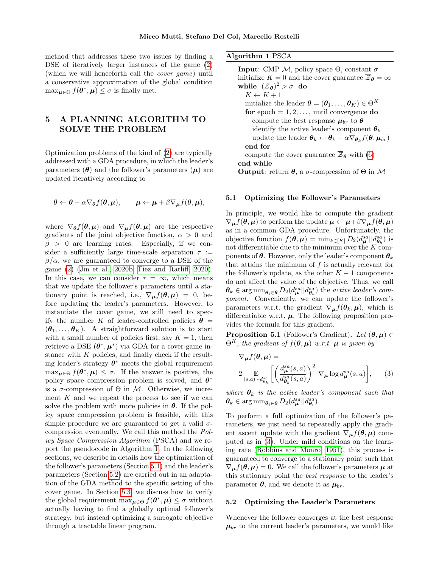method that addresses these two issues by finding a DSE of iteratively larger instances of the game [\(2\)](#page-3-2) (which we will henceforth call the cover game) until a conservative approximation of the global condition  $\max_{\mu \in \Theta} f(\theta^*, \mu) \leq \sigma$  is finally met.

## <span id="page-4-0"></span>5 A PLANNING ALGORITHM TO SOLVE THE PROBLEM

Optimization problems of the kind of [\(2\)](#page-3-2) are typically addressed with a GDA procedure, in which the leader's parameters  $(\theta)$  and the follower's parameters  $(\mu)$  are updated iteratively according to

$$
\boldsymbol{\theta} \leftarrow \boldsymbol{\theta} - \alpha \nabla_{\boldsymbol{\theta}} f(\boldsymbol{\theta}, \boldsymbol{\mu}), \qquad \boldsymbol{\mu} \leftarrow \boldsymbol{\mu} + \beta \nabla_{\boldsymbol{\mu}} f(\boldsymbol{\theta}, \boldsymbol{\mu}),
$$

where  $\nabla_{\theta} f(\theta, \mu)$  and  $\nabla_{\mu} f(\theta, \mu)$  are the respective gradients of the joint objective function,  $\alpha > 0$  and  $\beta > 0$  are learning rates. Especially, if we consider a sufficiently large time-scale separation  $\tau$  :=  $\beta/\alpha$ , we are guaranteed to converge to a DSE of the game [\(2\)](#page-3-2) [\(Jin et al., 2020b;](#page-9-16) [Fiez and Ratliff, 2020\)](#page-9-17). In this case, we can consider  $\tau = \infty$ , which means that we update the follower's parameters until a stationary point is reached, i.e.,  $\nabla_{\mu} f(\theta, \mu) = 0$ , before updating the leader's parameters. However, to instantiate the cover game, we still need to specify the number K of leader-controlled policies  $\theta =$  $(\theta_1, \ldots, \theta_K)$ . A straightforward solution is to start with a small number of policies first, say  $K = 1$ , then retrieve a DSE  $(\theta^*, \mu^*)$  via GDA for a cover-game instance with  $K$  policies, and finally check if the resulting leader's strategy  $\theta^*$  meets the global requirement  $\max_{\mu \in \Theta} f(\theta^*, \mu) \leq \sigma$ . If the answer is positive, the policy space compression problem is solved, and  $\theta^*$ is a  $\sigma$ -compression of  $\Theta$  in M. Otherwise, we increment  $K$  and we repeat the process to see if we can solve the problem with more policies in  $\theta$ . If the policy space compression problem is feasible, with this simple procedure we are guaranteed to get a valid  $\sigma$ compression eventually. We call this method the Policy Space Compression Algorithm (PSCA) and we report the pseudocode in Algorithm [1.](#page-4-1) In the following sections, we describe in details how the optimization of the follower's parameters (Section [5.1\)](#page-4-2) and the leader's parameters (Section [5.2\)](#page-4-3) are carried out in an adaptation of the GDA method to the specific setting of the cover game. In Section [5.3,](#page-5-1) we discuss how to verify the global requirement  $\max_{\mu \in \Theta} f(\theta^*, \mu) \leq \sigma$  without actually having to find a globally optimal follower's strategy, but instead optimizing a surrogate objective through a tractable linear program.

<span id="page-4-1"></span>

| Algorithm 1 PSCA |  |  |
|------------------|--|--|
|------------------|--|--|

| <b>Input:</b> CMP M, policy space $\Theta$ , constant $\sigma$                                                   |
|------------------------------------------------------------------------------------------------------------------|
| initialize $K = 0$ and the cover guarantee $\mathcal{Z}_{\theta} = \infty$                                       |
| while $(\overline{Z}_{\theta})^2 > \sigma$ do                                                                    |
| $K \leftarrow K + 1$                                                                                             |
| initialize the leader $\boldsymbol{\theta} = (\boldsymbol{\theta}_1, \dots, \boldsymbol{\theta}_K) \in \Theta^K$ |
| for epoch $= 1, 2, \ldots$ , until convergence do                                                                |
| compute the best response $\mu_{br}$ to $\theta$                                                                 |
| identify the active leader's component $\theta_k$                                                                |
| update the leader $\theta_k \leftarrow \theta_k - \alpha \nabla_{\theta_k} f(\theta, \mu_{br})$                  |
| end for                                                                                                          |
| compute the cover guarantee $\overline{z}_{\theta}$ with (6)                                                     |
| end while                                                                                                        |
| <b>Output:</b> return $\theta$ , a $\sigma$ -compression of $\Theta$ in M                                        |
|                                                                                                                  |

#### <span id="page-4-2"></span>5.1 Optimizing the Follower's Parameters

In principle, we would like to compute the gradient  $\nabla_{\mu} f(\theta, \mu)$  to perform the update  $\mu \leftarrow \mu + \beta \nabla_{\mu} f(\theta, \mu)$ as in a common GDA procedure. Unfortunately, the objective function  $f(\theta, \mu) = \min_{k \in [K]} D_2(d_\mu^{sa} || d_{\theta_k}^{sa})$  is not differentiable due to the minimum over the  $K$  components of  $\theta$ . However, only the leader's component  $\theta_k$ that attains the minimum of  $f$  is actually relevant for the follower's update, as the other  $K - 1$  components do not affect the value of the objective. Thus, we call  $\theta_k \in \arg \min_{\theta_i \in \theta} D_2(d_{\mu}^{sa} || d_{\theta_k}^{sa})$  the *active leader's com*ponent. Conveniently, we can update the follower's parameters w.r.t. the gradient  $\nabla_{\mu} f(\theta_k, \mu)$ , which is differentiable w.r.t.  $\mu$ . The following proposition provides the formula for this gradient.

**Proposition 5.1** (Follower's Gradient). Let  $(\theta, \mu) \in$  $\Theta^{K}$ , the gradient of  $f(\theta, \mu)$  w.r.t.  $\mu$  is given by

<span id="page-4-4"></span>
$$
\nabla_{\mu} f(\theta, \mu) =
$$
  
 
$$
2 \mathop{\mathbb{E}}_{(s,a) \sim d_{\theta_k}^s} \left[ \left( \frac{d_{\mu}^{sa}(s,a)}{d_{\theta_k}^{sa}(s,a)} \right)^2 \nabla_{\mu} \log d_{\mu}^{sa}(s,a) \right], \qquad (3)
$$

where  $\theta_k$  is the active leader's component such that  $\theta_k \in \arg\min_{\theta_i \in \theta} D_2(d_{\mu}^{sa} || d_{\theta_i}^{sa}).$ 

To perform a full optimization of the follower's parameters, we just need to repeatedly apply the gradient ascent update with the gradient  $\nabla_{\mu} f(\theta, \mu)$  computed as in [\(3\)](#page-4-4). Under mild conditions on the learning rate [\(Robbins and Monro, 1951\)](#page-10-4), this process is guaranteed to converge to a stationary point such that  $\nabla_{\mu} f(\theta, \mu) = 0$ . We call the follower's parameters  $\mu$  at this stationary point the best response to the leader's parameter  $\theta$ , and we denote it as  $\mu_{br}$ .

#### <span id="page-4-3"></span>5.2 Optimizing the Leader's Parameters

Whenever the follower converges at the best response  $\mu_{br}$  to the current leader's parameters, we would like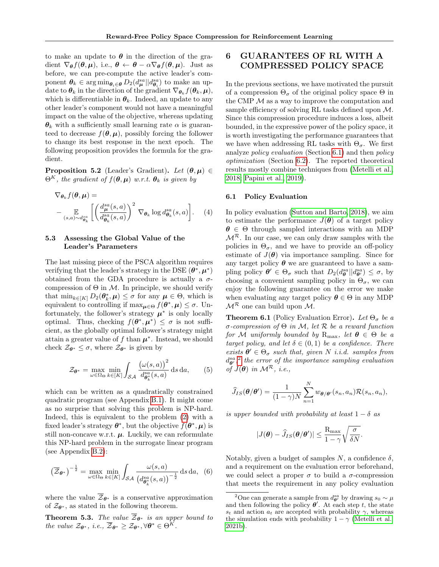to make an update to  $\theta$  in the direction of the gradient  $\nabla_{\theta} f(\theta, \mu)$ , i.e.,  $\theta \leftarrow \theta - \alpha \nabla_{\theta} f(\theta, \mu)$ . Just as before, we can pre-compute the active leader's component  $\theta_k \in \arg \min_{\theta_i \in \theta} D_2(d_{\mu}^{sa} || d_{\theta_i}^{sa})$  to make an update to  $\boldsymbol{\theta}_k$  in the direction of the gradient  $\nabla_{\boldsymbol{\theta}_k} f(\boldsymbol{\theta}_k, \boldsymbol{\mu}),$ which is differentiable in  $\theta_k$ . Indeed, an update to any other leader's component would not have a meaningful impact on the value of the objective, whereas updating  $\theta_k$  with a sufficiently small learning rate  $\alpha$  is guaranteed to decrease  $f(\theta, \mu)$ , possibly forcing the follower to change its best response in the next epoch. The following proposition provides the formula for the gradient.

**Proposition 5.2** (Leader's Gradient). Let  $(\theta, \mu) \in$  $\Theta^{K}$ , the gradient of  $f(\theta, \mu)$  w.r.t.  $\theta_{k}$  is given by

$$
\nabla_{\theta_k} f(\theta, \mu) =
$$
\n
$$
- \mathop{\mathbb{E}}_{(s,a) \sim d_{\theta_k}^{sa}} \left[ \left( \frac{d_{\mu}^{sa}(s,a)}{d_{\theta_k}^{sa}(s,a)} \right)^2 \nabla_{\theta_k} \log d_{\theta_k}^{sa}(s,a) \right]. \quad (4)
$$

### <span id="page-5-1"></span>5.3 Assessing the Global Value of the Leader's Parameters

The last missing piece of the PSCA algorithm requires verifying that the leader's strategy in the DSE  $(\theta^*, \mu^*)$ obtained from the GDA procedure is actually a  $\sigma$ compression of  $\Theta$  in  $\mathcal M$ . In principle, we should verify that  $\min_{k \in [K]} D_2(\theta_k^*, \mu) \leq \sigma$  for any  $\mu \in \Theta$ , which is equivalent to controlling if  $\max_{\mu \in \Theta} f(\theta^*, \mu) \leq \sigma$ . Unfortunately, the follower's strategy  $\mu^*$  is only locally optimal. Thus, checking  $f(\theta^*, \mu^*) \leq \sigma$  is not sufficient, as the globally optimal follower's strategy might attain a greater value of f than  $\mu^*$ . Instead, we should check  $\mathcal{Z}_{\theta^*} \leq \sigma$ , where  $\mathcal{Z}_{\theta^*}$  is given by

<span id="page-5-6"></span>
$$
\mathcal{Z}_{\theta^*} = \max_{\omega \in \Omega_{\Theta}} \min_{k \in [K]} \int_{\mathcal{SA}} \frac{\left(\omega(s, a)\right)^2}{d_{\theta_k^*}^{sa}(s, a)} \, \mathrm{d} s \, \mathrm{d} a,\qquad(5)
$$

which can be written as a quadratically constrained quadratic program (see Appendix [B.1\)](#page-14-0). It might come as no surprise that solving this problem is NP-hard. Indeed, this is equivalent to the problem [\(2\)](#page-3-2) with a fixed leader's strategy  $\boldsymbol{\theta}^*$ , but the objective  $f(\boldsymbol{\theta}^*, \boldsymbol{\mu})$  is still non-concave w.r.t.  $\mu$ . Luckily, we can reformulate this NP-hard problem in the surrogate linear program (see Appendix [B.2\)](#page-14-1):

<span id="page-5-2"></span>
$$
\left(\overline{\mathcal{Z}}_{\theta^*}\right)^{-\frac{1}{2}} = \max_{\omega \in \Omega_{\Theta}} \min_{k \in [K]} \int_{\mathcal{SA}} \frac{\omega(s, a)}{\left(d_{\theta_k^*}^{sa}(s, a)\right)^{-\frac{1}{2}}} \, \mathrm{d}s \, \mathrm{d}a, \tag{6}
$$

where the value  $\overline{Z}_{\theta^*}$  is a conservative approximation of  $\mathcal{Z}_{\theta^*}$ , as stated in the following theorem.

**Theorem 5.3.** The value  $\mathcal{Z}_{\theta^*}$  is an upper bound to the value  $\mathcal{Z}_{\theta^*}$ , i.e.,  $\overline{\mathcal{Z}}_{\theta^*} \geq \mathcal{Z}_{\theta^*}, \forall \theta^* \in \Theta^K$ .

## <span id="page-5-0"></span>6 GUARANTEES OF RL WITH A COMPRESSED POLICY SPACE

In the previous sections, we have motivated the pursuit of a compression  $\Theta_{\sigma}$  of the original policy space  $\Theta$  in the CMP  $\mathcal M$  as a way to improve the computation and sample efficiency of solving RL tasks defined upon M. Since this compression procedure induces a loss, albeit bounded, in the expressive power of the policy space, it is worth investigating the performance guarantees that we have when addressing RL tasks with  $\Theta_{\sigma}$ . We first analyze policy evaluation (Section [6.1\)](#page-5-3) and then policy optimization (Section [6.2\)](#page-6-1). The reported theoretical results mostly combine techniques from [\(Metelli et al.,](#page-9-2) [2018;](#page-9-2) [Papini et al., 2019\)](#page-9-3).

### <span id="page-5-3"></span>6.1 Policy Evaluation

<span id="page-5-7"></span>In policy evaluation [\(Sutton and Barto, 2018\)](#page-10-0), we aim to estimate the performance  $J(\theta)$  of a target policy  $\theta \in \Theta$  through sampled interactions with an MDP  $\mathcal{M}^{\mathcal{R}}$ . In our case, we can only draw samples with the policies in  $\Theta_{\sigma}$ , and we have to provide an off-policy estimate of  $J(\theta)$  via importance sampling. Since for any target policy  $\theta$  we are guaranteed to have a sampling policy  $\theta' \in \Theta_{\sigma}$  such that  $D_2(d_{\theta}^{sa}||d_{\theta'}^{sa}) \leq \sigma$ , by choosing a convenient sampling policy in  $\Theta_{\sigma}$ , we can enjoy the following guarantee on the error we make when evaluating any target policy  $\theta \in \Theta$  in any MDP  $\mathcal{M}^{\mathcal{R}}$  one can build upon  $\mathcal{M}$ .

<span id="page-5-5"></span>**Theorem 6.1** (Policy Evaluation Error). Let  $\Theta_{\sigma}$  be a σ-compression of Θ in M, let R be a reward function for M uniformly bounded by  $R_{\text{max}}$ , let  $\theta \in \Theta$  be a target policy, and let  $\delta \in (0,1)$  be a confidence. There exists  $\boldsymbol{\theta}' \in \Theta_{\sigma}$  such that, given N i.i.d. samples from  $d_{\theta'}^{sa},^2$  $d_{\theta'}^{sa},^2$  the error of the importance sampling evaluation of  $J(\boldsymbol{\theta})$  in  $\mathcal{M}^{\mathcal{R}}$ , i.e.,

$$
\widehat{J}_{IS}(\boldsymbol{\theta}/\boldsymbol{\theta}') = \frac{1}{(1-\gamma)N} \sum_{n=1}^{N} w_{\boldsymbol{\theta}/\boldsymbol{\theta}'}(s_n, a_n) \mathcal{R}(s_n, a_n),
$$

is upper bounded with probability at least  $1 - \delta$  as

$$
|J(\boldsymbol{\theta}) - \widehat{J}_{IS}(\boldsymbol{\theta}/\boldsymbol{\theta}')| \leq \frac{R_{\max}}{1 - \gamma} \sqrt{\frac{\sigma}{\delta N}}.
$$

Notably, given a budget of samples N, a confidence  $\delta$ , and a requirement on the evaluation error beforehand, we could select a proper  $\sigma$  to build a  $\sigma$ -compression that meets the requirement in any policy evaluation

<span id="page-5-4"></span><sup>&</sup>lt;sup>2</sup>One can generate a sample from  $d_{\theta}^{sa}$  by drawing  $s_0 \sim \mu$ and then following the policy  $\theta'$ . At each step t, the state  $s_t$  and action  $a_t$  are accepted with probability  $\gamma$ , whereas the simulation ends with probability  $1 - \gamma$  [\(Metelli et al.,](#page-9-18) [2021b\)](#page-9-18).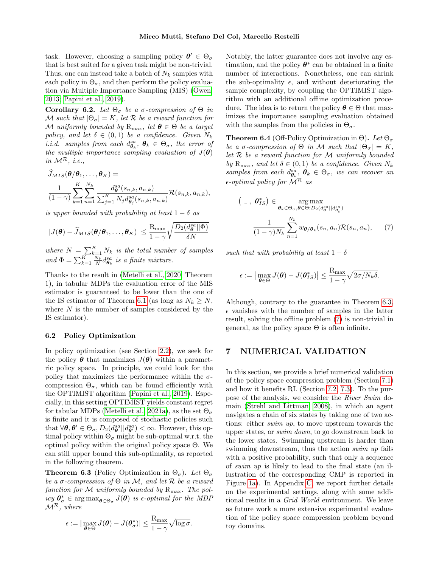task. However, choosing a sampling policy  $\boldsymbol{\theta}' \in \Theta_{\sigma}$ that is best suited for a given task might be non-trivial. Thus, one can instead take a batch of  $N_k$  samples with each policy in  $\Theta_{\sigma}$ , and then perform the policy evaluation via Multiple Importance Sampling (MIS) [\(Owen,](#page-9-11) [2013;](#page-9-11) [Papini et al., 2019\)](#page-9-3).

<span id="page-6-4"></span>Corollary 6.2. Let  $\Theta_{\sigma}$  be a σ-compression of  $\Theta$  in M such that  $|\Theta_{\sigma}| = K$ , let R be a reward function for M uniformly bounded by  $R_{\text{max}}$ , let  $\boldsymbol{\theta} \in \Theta$  be a target policy, and let  $\delta \in (0,1)$  be a confidence. Given  $N_k$ *i.i.d.* samples from each  $d_{\theta_k}^{sa}, \theta_k \in \Theta_\sigma$ , the error of the multiple importance sampling evaluation of  $J(\boldsymbol{\theta})$ in  $\mathcal{M}^{\mathcal{R}}$ , *i.e.*,

$$
J_{MIS}(\boldsymbol{\theta}/\boldsymbol{\theta}_1,\ldots,\boldsymbol{\theta}_K) =
$$
  

$$
\frac{1}{(1-\gamma)}\sum_{k=1}^K\sum_{n=1}^{N_k}\frac{d_{\boldsymbol{\theta}}^{sa}(s_{n,k},a_{n,k})}{\sum_{j=1}^K N_j d_{\boldsymbol{\theta}_j}^{sa}(s_{n,k},a_{n,k})}\mathcal{R}(s_{n,k},a_{n,k}),
$$

is upper bounded with probability at least  $1 - \delta$  as

$$
|J(\boldsymbol{\theta}) - \widehat{J}_{MIS}(\boldsymbol{\theta}/\boldsymbol{\theta}_1, \dots, \boldsymbol{\theta}_K)| \le \frac{\mathrm{R}_{\mathrm{max}}}{1 - \gamma} \sqrt{\frac{D_2(d_{\boldsymbol{\theta}}^{sa} || \boldsymbol{\Phi})}{\delta N}}
$$

where  $N = \sum_{k=1}^{K} N_k$  is the total number of samples and  $\Phi = \sum_{k=1}^{K} \frac{N_k}{N} d_{\theta_k}^{sa}$  is a finite mixture.

Thanks to the result in [\(Metelli et al., 2020,](#page-9-19) Theorem 1), in tabular MDPs the evaluation error of the MIS estimator is guaranteed to be lower than the one of the IS estimator of Theorem [6.1](#page-5-5) (as long as  $N_k \geq N$ , where  $N$  is the number of samples considered by the IS estimator).

#### <span id="page-6-1"></span>6.2 Policy Optimization

In policy optimization (see Section [2.2\)](#page-1-0), we seek for the policy  $\theta$  that maximizes  $J(\theta)$  within a parametric policy space. In principle, we could look for the policy that maximizes the performance within the  $\sigma$ compression  $\Theta_{\sigma}$ , which can be found efficiently with the OPTIMIST algorithm [\(Papini et al., 2019\)](#page-9-3). Especially, in this setting OPTIMIST yields constant regret for tabular MDPs [\(Metelli et al., 2021a\)](#page-9-5), as the set  $\Theta_{\sigma}$ is finite and it is composed of stochastic policies such that  $\forall \theta, \theta' \in \Theta_{\sigma}, D_2(d_{\theta}^{sa} || d_{\theta'}^{sa}) < \infty$ . However, this optimal policy within  $\Theta_{\sigma}$  might be sub-optimal w.r.t. the optimal policy within the original policy space Θ. We can still upper bound this sub-optimality, as reported in the following theorem.

<span id="page-6-2"></span>**Theorem 6.3** (Policy Optimization in  $\Theta_{\sigma}$ ). Let  $\Theta_{\sigma}$ be a  $\sigma$ -compression of  $\Theta$  in M, and let R be a reward function for  $M$  uniformly bounded by  $R_{\text{max}}$ . The pol $icy \theta^*_{\sigma} \in \arg \max_{\theta \in \Theta_{\sigma}} J(\theta)$  is e-optimal for the MDP  $\mathcal{M}^{\mathcal{R}}$ , where

$$
\epsilon := |\max_{\boldsymbol{\theta} \in \Theta} J(\boldsymbol{\theta}) - J(\boldsymbol{\theta}_{\sigma}^*)| \leq \frac{R_{\max}}{1 - \gamma} \sqrt{\log \sigma}.
$$

Notably, the latter guarantee does not involve any estimation, and the policy  $\theta^*$  can be obtained in a finite number of interactions. Nonetheless, one can shrink the sub-optimality  $\epsilon$ , and without deteriorating the sample complexity, by coupling the OPTIMIST algorithm with an additional offline optimization procedure. The idea is to return the policy  $\theta \in \Theta$  that maximizes the importance sampling evaluation obtained with the samples from the policies in  $\Theta_{\sigma}$ .

**Theorem 6.4** (Off-Policy Optimization in Θ). Let  $\Theta_{\sigma}$ be a  $\sigma$ -compression of  $\Theta$  in M such that  $|\Theta_{\sigma}| = K$ , let  $R$  be a reward function for  $M$  uniformly bounded by  $R_{\text{max}}$ , and let  $\delta \in (0,1)$  be a confidence. Given  $N_k$ samples from each  $d_{\theta_k}^{sa}, \theta_k \in \Theta_{\sigma}$ , we can recover an  $\epsilon$ -optimal policy for  $\mathcal{M}^{\mathcal{R}}$  as

<span id="page-6-3"></span>
$$
\left(\begin{array}{cc} \n\cdot & \theta_{IS}^*\n\end{array}\right) \in \operatorname*{arg\,max}_{\theta_k \in \Theta_\sigma, \theta \in \Theta: D_2(d_\theta^{sa}||d_{\theta_k}^{sa})}
$$
\n
$$
\frac{1}{(1-\gamma)N_k} \sum_{n=1}^{N_k} w_{\theta/\theta_k}(s_n, a_n) \mathcal{R}(s_n, a_n), \qquad (7)
$$

such that with probability at least  $1 - \delta$ 

$$
\epsilon := \big|\max_{\boldsymbol{\theta} \in \Theta} J(\boldsymbol{\theta}) - J(\boldsymbol{\theta}_{IS}^*)\big| \leq \frac{R_{\max}}{1 - \gamma} \sqrt{2\sigma/N_k \delta}.
$$

Although, contrary to the guarantee in Theorem [6.3,](#page-6-2)  $\epsilon$  vanishes with the number of samples in the latter result, solving the offline problem [\(7\)](#page-6-3) is non-trivial in general, as the policy space  $\Theta$  is often infinite.

## <span id="page-6-0"></span>7 NUMERICAL VALIDATION

In this section, we provide a brief numerical validation of the policy space compression problem (Section [7.1\)](#page-7-0) and how it benefits RL (Section [7.2,](#page-7-1) [7.3\)](#page-8-0). To the purpose of the analysis, we consider the River Swim domain [\(Strehl and Littman, 2008\)](#page-10-5), in which an agent navigates a chain of six states by taking one of two actions: either swim up, to move upstream towards the upper states, or swim down, to go downstream back to the lower states. Swimming upstream is harder than swimming downstream, thus the action *swim up* fails with a positive probability, such that only a sequence of swim up is likely to lead to the final state (an illustration of the corresponding CMP is reported in Figure [1a\)](#page-7-2). In Appendix [C,](#page-15-0) we report further details on the experimental settings, along with some additional results in a Grid World environment. We leave as future work a more extensive experimental evaluation of the policy space compression problem beyond toy domains.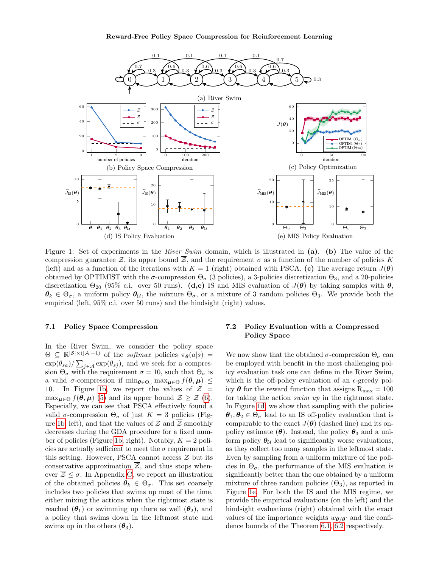<span id="page-7-2"></span>

Figure 1: Set of experiments in the River Swim domain, which is illustrated in (a). (b) The value of the compression guarantee Z, its upper bound  $\overline{Z}$ , and the requirement  $\sigma$  as a function of the number of policies K (left) and as a function of the iterations with  $K = 1$  (right) obtained with PSCA. (c) The average return  $J(\theta)$ obtained by OPTIMIST with the  $\sigma$ -compression  $\Theta_{\sigma}$  (3 policies), a 3-policies discretization  $\Theta_3$ , and a 20-policies discretization  $\Theta_{20}$  (95% c.i. over 50 runs). (d,e) IS and MIS evaluation of  $J(\theta)$  by taking samples with  $\theta$ ,  $\theta_k \in \Theta_\sigma$ , a uniform policy  $\theta_{\mathcal{U}}$ , the mixture  $\Theta_\sigma$ , or a mixture of 3 random policies  $\Theta_3$ . We provide both the empirical (left, 95% c.i. over 50 runs) and the hindsight (right) values.

### <span id="page-7-0"></span>7.1 Policy Space Compression

In the River Swim, we consider the policy space  $\Theta \subseteq \mathbb{R}^{|\mathcal{S}| \times (|\mathcal{A}|-1)}$  of the *softmax* policies  $\pi_{\theta}(a|s)$  =  $\exp(\theta_{sa})/\sum_{j\in\mathcal{A}} \exp(\theta_{sj})$ , and we seek for a compression  $\Theta_{\sigma}$  with the requirement  $\sigma = 10$ , such that  $\Theta_{\sigma}$  is a valid  $\sigma$ -compression if  $\min_{\theta \in \Theta_{\sigma}} \max_{\mu \in \Theta} f(\theta, \mu) \leq$ 10. In Figure [1b,](#page-7-2) we report the values of  $\mathcal{Z}$  =  $\max_{\mu \in \Theta} f(\theta, \mu)$  [\(5\)](#page-5-6) and its upper bound  $\overline{\mathcal{Z}} \geq \mathcal{Z}$  [\(6\)](#page-5-2). Especially, we can see that PSCA effectively found a valid  $\sigma$ -compression  $\Theta_{\sigma}$  of just  $K = 3$  policies (Fig-ure [1b,](#page-7-2) left), and that the values of  $\mathcal Z$  and  $\overline{\mathcal Z}$  smoothly decreases during the GDA procedure for a fixed num-ber of policies (Figure [1b,](#page-7-2) right). Notably,  $K = 2$  policies are actually sufficient to meet the  $\sigma$  requirement in this setting. However, PSCA cannot access  $\mathcal Z$  but its conservative approximation  $\overline{z}$ , and thus stops whenever  $\overline{Z} \leq \sigma$ . In Appendix [C,](#page-15-0) we report an illustration of the obtained policies  $\theta_k \in \Theta_{\sigma}$ . This set coarsely includes two policies that swims up most of the time, either mixing the actions when the rightmost state is reached  $(\theta_1)$  or swimming up there as well  $(\theta_2)$ , and a policy that swims down in the leftmost state and swims up in the others  $(\theta_3)$ .

## <span id="page-7-1"></span>7.2 Policy Evaluation with a Compressed Policy Space

We now show that the obtained  $\sigma$ -compression  $\Theta_{\sigma}$  can be employed with benefit in the most challenging policy evaluation task one can define in the River Swim, which is the off-policy evaluation of an  $\epsilon$ -greedy policy  $\theta$  for the reward function that assigns  $R_{\text{max}} = 100$ for taking the action swim up in the rightmost state. In Figure [1d,](#page-7-2) we show that sampling with the policies  $\theta_1, \theta_2 \in \Theta_{\sigma}$  lead to an IS off-policy evaluation that is comparable to the exact  $J(\theta)$  (dashed line) and its onpolicy estimate  $(\theta)$ . Instead, the policy  $\theta_3$  and a uniform policy  $\theta_{\mathcal{U}}$  lead to significantly worse evaluations, as they collect too many samples in the leftmost state. Even by sampling from a uniform mixture of the policies in  $\Theta_{\sigma}$ , the performance of the MIS evaluation is significantly better than the one obtained by a uniform mixture of three random policies  $(\Theta_3)$ , as reported in Figure [1e.](#page-7-2) For both the IS and the MIS regime, we provide the empirical evaluations (on the left) and the hindsight evaluations (right) obtained with the exact values of the importance weights  $w_{\theta/\theta}$  and the confidence bounds of the Theorem [6.1,](#page-5-5) [6.2](#page-6-4) respectively.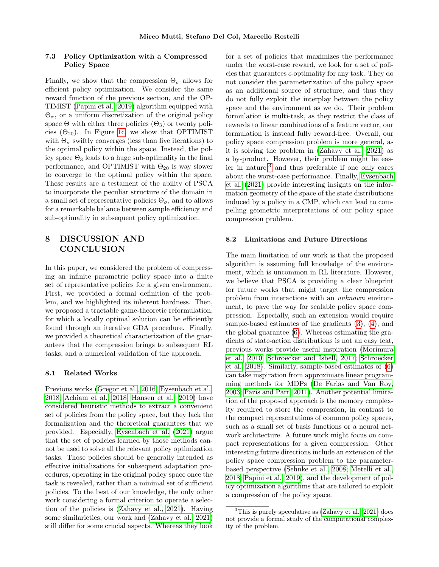### <span id="page-8-0"></span>7.3 Policy Optimization with a Compressed Policy Space

Finally, we show that the compression  $\Theta_{\sigma}$  allows for efficient policy optimization. We consider the same reward function of the previous section, and the OP-TIMIST [\(Papini et al., 2019\)](#page-9-3) algorithm equipped with  $\Theta_{\sigma}$ , or a uniform discretization of the original policy space  $\Theta$  with either three policies  $(\Theta_3)$  or twenty policies  $(\Theta_{20})$ . In Figure [1c,](#page-7-2) we show that OPTIMIST with  $\Theta_{\sigma}$  swiftly converges (less than five iterations) to the optimal policy within the space. Instead, the policy space  $\Theta_3$  leads to a huge sub-optimality in the final performance, and OPTIMIST with  $\Theta_{20}$  is way slower to converge to the optimal policy within the space. These results are a testament of the ability of PSCA to incorporate the peculiar structure of the domain in a small set of representative policies  $\Theta_{\sigma}$ , and to allows for a remarkable balance between sample efficiency and sub-optimality in subsequent policy optimization.

## 8 DISCUSSION AND **CONCLUSION**

In this paper, we considered the problem of compressing an infinite parametric policy space into a finite set of representative policies for a given environment. First, we provided a formal definition of the problem, and we highlighted its inherent hardness. Then, we proposed a tractable game-theoretic reformulation, for which a locally optimal solution can be efficiently found through an iterative GDA procedure. Finally, we provided a theoretical characterization of the guarantees that the compression brings to subsequent RL tasks, and a numerical validation of the approach.

#### 8.1 Related Works

Previous works [\(Gregor et al., 2016;](#page-9-20) [Eysenbach et al.,](#page-9-21) [2018;](#page-9-21) [Achiam et al., 2018;](#page-9-22) [Hansen et al., 2019\)](#page-9-23) have considered heuristic methods to extract a convenient set of policies from the policy space, but they lack the formalization and the theoretical guarantees that we provided. Especially, [Eysenbach et al.](#page-9-24) [\(2021\)](#page-9-24) argue that the set of policies learned by those methods cannot be used to solve all the relevant policy optimization tasks. Those policies should be generally intended as effective initializations for subsequent adaptation procedures, operating in the original policy space once the task is revealed, rather than a minimal set of sufficient policies. To the best of our knowledge, the only other work considering a formal criterion to operate a selection of the policies is [\(Zahavy et al., 2021\)](#page-10-6). Having some similarieties, our work and [\(Zahavy et al., 2021\)](#page-10-6) still differ for some crucial aspects. Whereas they look for a set of policies that maximizes the performance under the worst-case reward, we look for a set of policies that guarantees  $\epsilon$ -optimality for any task. They do not consider the parameterization of the policy space as an additional source of structure, and thus they do not fully exploit the interplay between the policy space and the environment as we do. Their problem formulation is multi-task, as they restrict the class of rewards to linear combinations of a feature vector, our formulation is instead fully reward-free. Overall, our policy space compression problem is more general, as it is solving the problem in [\(Zahavy et al., 2021\)](#page-10-6) as a by-product. However, their problem might be easier in nature, $3$  and thus preferable if one only cares about the worst-case performance. Finally, [Eysenbach](#page-9-24) [et al.](#page-9-24) [\(2021\)](#page-9-24) provide interesting insights on the information geometry of the space of the state distributions induced by a policy in a CMP, which can lead to compelling geometric interpretations of our policy space compression problem.

#### 8.2 Limitations and Future Directions

The main limitation of our work is that the proposed algorithm is assuming full knowledge of the environment, which is uncommon in RL literature. However, we believe that PSCA is providing a clear blueprint for future works that might target the compression problem from interactions with an unknown environment, to pave the way for scalable policy space compression. Especially, such an extension would require sample-based estimates of the gradients [\(3\)](#page-4-4), [\(4\)](#page-5-7), and the global guarantee [\(6\)](#page-5-2). Whereas estimating the gradients of state-action distributions is not an easy feat, previous works provide useful inspiration [\(Morimura](#page-9-25) [et al., 2010;](#page-9-25) [Schroecker and Isbell, 2017;](#page-10-7) [Schroecker](#page-10-8) [et al., 2018\)](#page-10-8). Similarly, sample-based estimates of [\(6\)](#page-5-2) can take inspiration from approximate linear programming methods for MDPs [\(De Farias and Van Roy,](#page-9-26) [2003;](#page-9-26) [Pazis and Parr, 2011\)](#page-9-27). Another potential limitation of the proposed approach is the memory complexity required to store the compression, in contrast to the compact representations of common policy spaces, such as a small set of basis functions or a neural network architecture. A future work might focus on compact representations for a given compression. Other interesting future directions include an extension of the policy space compression problem to the parameterbased perspective [\(Sehnke et al., 2008;](#page-10-9) [Metelli et al.,](#page-9-2) [2018;](#page-9-2) [Papini et al., 2019\)](#page-9-3), and the development of policy optimization algorithms that are tailored to exploit a compression of the policy space.

<span id="page-8-1"></span><sup>3</sup>This is purely speculative as [\(Zahavy et al., 2021\)](#page-10-6) does not provide a formal study of the computational complexity of the problem.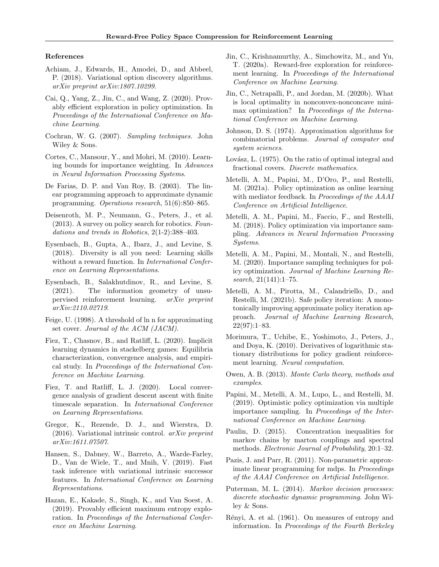#### References

- <span id="page-9-22"></span>Achiam, J., Edwards, H., Amodei, D., and Abbeel, P. (2018). Variational option discovery algorithms. arXiv preprint arXiv:1807.10299.
- <span id="page-9-4"></span>Cai, Q., Yang, Z., Jin, C., and Wang, Z. (2020). Provably efficient exploration in policy optimization. In Proceedings of the International Conference on Machine Learning.
- <span id="page-9-10"></span>Cochran, W. G. (2007). Sampling techniques. John Wiley & Sons.
- <span id="page-9-13"></span>Cortes, C., Mansour, Y., and Mohri, M. (2010). Learning bounds for importance weighting. In Advances in Neural Information Processing Systems.
- <span id="page-9-26"></span>De Farias, D. P. and Van Roy, B. (2003). The linear programming approach to approximate dynamic programming. Operations research, 51(6):850–865.
- <span id="page-9-1"></span>Deisenroth, M. P., Neumann, G., Peters, J., et al. (2013). A survey on policy search for robotics. Foundations and trends in Robotics, 2(1-2):388–403.
- <span id="page-9-21"></span>Eysenbach, B., Gupta, A., Ibarz, J., and Levine, S. (2018). Diversity is all you need: Learning skills without a reward function. In *International Confer*ence on Learning Representations.
- <span id="page-9-24"></span>Eysenbach, B., Salakhutdinov, R., and Levine, S. (2021). The information geometry of unsupervised reinforcement learning. arXiv preprint arXiv:2110.02719.
- <span id="page-9-8"></span>Feige, U. (1998). A threshold of ln n for approximating set cover. Journal of the ACM (JACM).
- <span id="page-9-9"></span>Fiez, T., Chasnov, B., and Ratliff, L. (2020). Implicit learning dynamics in stackelberg games: Equilibria characterization, convergence analysis, and empirical study. In Proceedings of the International Conference on Machine Learning.
- <span id="page-9-17"></span>Fiez, T. and Ratliff, L. J. (2020). Local convergence analysis of gradient descent ascent with finite timescale separation. In International Conference on Learning Representations.
- <span id="page-9-20"></span>Gregor, K., Rezende, D. J., and Wierstra, D.  $(2016)$ . Variational intrinsic control.  $arXiv$  preprint arXiv:1611.07507.
- <span id="page-9-23"></span>Hansen, S., Dabney, W., Barreto, A., Warde-Farley, D., Van de Wiele, T., and Mnih, V. (2019). Fast task inference with variational intrinsic successor features. In International Conference on Learning Representations.
- <span id="page-9-6"></span>Hazan, E., Kakade, S., Singh, K., and Van Soest, A. (2019). Provably efficient maximum entropy exploration. In Proceedings of the International Conference on Machine Learning.
- <span id="page-9-7"></span>Jin, C., Krishnamurthy, A., Simchowitz, M., and Yu, T. (2020a). Reward-free exploration for reinforcement learning. In Proceedings of the International Conference on Machine Learning.
- <span id="page-9-16"></span>Jin, C., Netrapalli, P., and Jordan, M. (2020b). What is local optimality in nonconvex-nonconcave minimax optimization? In Proceedings of the International Conference on Machine Learning.
- <span id="page-9-14"></span>Johnson, D. S. (1974). Approximation algorithms for combinatorial problems. Journal of computer and system sciences.
- <span id="page-9-15"></span>Lovász, L. (1975). On the ratio of optimal integral and fractional covers. Discrete mathematics.
- <span id="page-9-5"></span>Metelli, A. M., Papini, M., D'Oro, P., and Restelli, M. (2021a). Policy optimization as online learning with mediator feedback. In Proceedings of the AAAI Conference on Artificial Intelligence.
- <span id="page-9-2"></span>Metelli, A. M., Papini, M., Faccio, F., and Restelli, M. (2018). Policy optimization via importance sampling. Advances in Neural Information Processing Systems.
- <span id="page-9-19"></span>Metelli, A. M., Papini, M., Montali, N., and Restelli, M. (2020). Importance sampling techniques for policy optimization. Journal of Machine Learning Research, 21(141):1–75.
- <span id="page-9-18"></span>Metelli, A. M., Pirotta, M., Calandriello, D., and Restelli, M. (2021b). Safe policy iteration: A monotonically improving approximate policy iteration approach. Journal of Machine Learning Research,  $22(97):1-83.$
- <span id="page-9-25"></span>Morimura, T., Uchibe, E., Yoshimoto, J., Peters, J., and Doya, K. (2010). Derivatives of logarithmic stationary distributions for policy gradient reinforcement learning. Neural computation.
- <span id="page-9-11"></span>Owen, A. B. (2013). Monte Carlo theory, methods and examples.
- <span id="page-9-3"></span>Papini, M., Metelli, A. M., Lupo, L., and Restelli, M. (2019). Optimistic policy optimization via multiple importance sampling. In Proceedings of the International Conference on Machine Learning.
- <span id="page-9-28"></span>Paulin, D. (2015). Concentration inequalities for markov chains by marton couplings and spectral methods. Electronic Journal of Probability, 20:1–32.
- <span id="page-9-27"></span>Pazis, J. and Parr, R. (2011). Non-parametric approximate linear programming for mdps. In Proceedings of the AAAI Conference on Artificial Intelligence.
- <span id="page-9-0"></span>Puterman, M. L. (2014). *Markov decision processes:* discrete stochastic dynamic programming. John Wiley & Sons.
- <span id="page-9-12"></span>Rényi, A. et al. (1961). On measures of entropy and information. In Proceedings of the Fourth Berkeley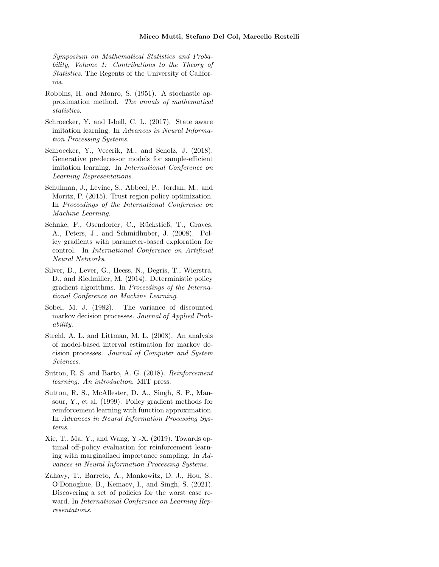Symposium on Mathematical Statistics and Probability, Volume 1: Contributions to the Theory of Statistics. The Regents of the University of California.

- <span id="page-10-4"></span>Robbins, H. and Monro, S. (1951). A stochastic approximation method. The annals of mathematical statistics.
- <span id="page-10-7"></span>Schroecker, Y. and Isbell, C. L. (2017). State aware imitation learning. In Advances in Neural Information Processing Systems.
- <span id="page-10-8"></span>Schroecker, Y., Vecerik, M., and Scholz, J. (2018). Generative predecessor models for sample-efficient imitation learning. In International Conference on Learning Representations.
- <span id="page-10-3"></span>Schulman, J., Levine, S., Abbeel, P., Jordan, M., and Moritz, P. (2015). Trust region policy optimization. In Proceedings of the International Conference on Machine Learning.
- <span id="page-10-9"></span>Sehnke, F., Osendorfer, C., Rückstieß, T., Graves, A., Peters, J., and Schmidhuber, J. (2008). Policy gradients with parameter-based exploration for control. In International Conference on Artificial Neural Networks.
- <span id="page-10-2"></span>Silver, D., Lever, G., Heess, N., Degris, T., Wierstra, D., and Riedmiller, M. (2014). Deterministic policy gradient algorithms. In Proceedings of the International Conference on Machine Learning.
- <span id="page-10-10"></span>Sobel, M. J. (1982). The variance of discounted markov decision processes. Journal of Applied Probability.
- <span id="page-10-5"></span>Strehl, A. L. and Littman, M. L. (2008). An analysis of model-based interval estimation for markov decision processes. Journal of Computer and System Sciences.
- <span id="page-10-0"></span>Sutton, R. S. and Barto, A. G. (2018). Reinforcement learning: An introduction. MIT press.
- <span id="page-10-1"></span>Sutton, R. S., McAllester, D. A., Singh, S. P., Mansour, Y., et al. (1999). Policy gradient methods for reinforcement learning with function approximation. In Advances in Neural Information Processing Systems.
- <span id="page-10-11"></span>Xie, T., Ma, Y., and Wang, Y.-X. (2019). Towards optimal off-policy evaluation for reinforcement learning with marginalized importance sampling. In Advances in Neural Information Processing Systems.
- <span id="page-10-6"></span>Zahavy, T., Barreto, A., Mankowitz, D. J., Hou, S., O'Donoghue, B., Kemaev, I., and Singh, S. (2021). Discovering a set of policies for the worst case reward. In International Conference on Learning Representations.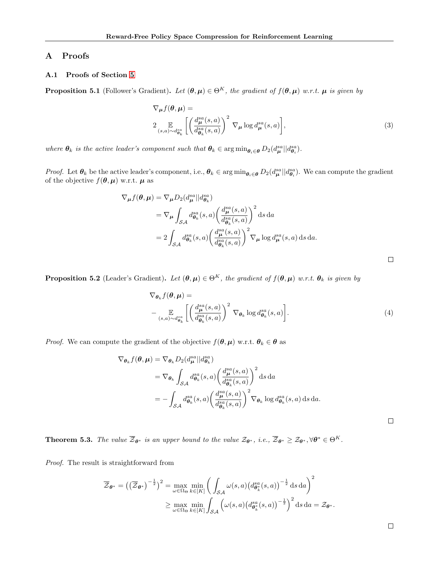## <span id="page-11-0"></span>A Proofs

## A.1 Proofs of Section [5](#page-4-0)

**Proposition 5.1** (Follower's Gradient). Let  $(\theta, \mu) \in \Theta^K$ , the gradient of  $f(\theta, \mu)$  w.r.t.  $\mu$  is given by

$$
\nabla_{\mu} f(\theta, \mu) =
$$
  
\n
$$
2 \mathop{\mathbb{E}}_{(s,a) \sim d_{\theta_k}^s} \left[ \left( \frac{d_{\mu}^{sa}(s,a)}{d_{\theta_k}^{sa}(s,a)} \right)^2 \nabla_{\mu} \log d_{\mu}^{sa}(s,a) \right],
$$
\n(3)

where  $\theta_k$  is the active leader's component such that  $\theta_k \in \arg \min_{\theta_i \in \theta} D_2(d_\mu^{sa} || d_{\theta_i}^{sa})$ .

*Proof.* Let  $\theta_k$  be the active leader's component, i.e.,  $\theta_k \in \arg \min_{\theta_i \in \theta} D_2(d_{\mu}^{sa}||d_{\theta_i}^{sa})$ . We can compute the gradient of the objective  $f(\theta, \mu)$  w.r.t.  $\mu$  as

$$
\nabla_{\mu} f(\theta, \mu) = \nabla_{\mu} D_2(d_{\mu}^{sa} || d_{\theta_k}^{sa})
$$
  
=  $\nabla_{\mu} \int_{\mathcal{SA}} d_{\theta_k}^{sa}(s, a) \left( \frac{d_{\mu}^{sa}(s, a)}{d_{\theta_k}^{sa}(s, a)} \right)^2 ds da$   
=  $2 \int_{\mathcal{SA}} d_{\theta_k}^{sa}(s, a) \left( \frac{d_{\mu}^{sa}(s, a)}{d_{\theta_k}^{sa}(s, a)} \right)^2 \nabla_{\mu} \log d_{\mu}^{sa}(s, a) ds da.$ 

**Proposition 5.2** (Leader's Gradient). Let  $(\theta, \mu) \in \Theta^K$ , the gradient of  $f(\theta, \mu)$  w.r.t.  $\theta_k$  is given by

$$
\nabla_{\theta_k} f(\theta, \mu) = \n-\n\mathop{\mathbb{E}}_{(s,a)\sim d_{\theta_k}^{sa}} \left[ \left( \frac{d_{\mu}^{sa}(s,a)}{d_{\theta_k}^{sa}(s,a)} \right)^2 \nabla_{\theta_k} \log d_{\theta_k}^{sa}(s,a) \right].
$$
\n(4)

*Proof.* We can compute the gradient of the objective  $f(\theta, \mu)$  w.r.t.  $\theta_k \in \theta$  as

$$
\nabla_{\theta_k} f(\theta, \mu) = \nabla_{\theta_k} D_2(d_{\mu}^{sa} || d_{\theta_k}^{sa})
$$
  
\n
$$
= \nabla_{\theta_k} \int_{S\mathcal{A}} d_{\theta_k}^{sa}(s, a) \left( \frac{d_{\mu}^{sa}(s, a)}{d_{\theta_k}^{sa}(s, a)} \right)^2 ds da
$$
  
\n
$$
= - \int_{S\mathcal{A}} d_{\theta_k}^{sa}(s, a) \left( \frac{d_{\mu}^{sa}(s, a)}{d_{\theta_k}^{sa}(s, a)} \right)^2 \nabla_{\theta_k} \log d_{\theta_k}^{sa}(s, a) ds da.
$$

**Theorem 5.3.** The value  $\overline{\mathcal{Z}}_{\boldsymbol{\theta}^*}$  is an upper bound to the value  $\mathcal{Z}_{\boldsymbol{\theta}^*}$ , i.e.,  $\overline{\mathcal{Z}}_{\boldsymbol{\theta}^*} \geq \mathcal{Z}_{\boldsymbol{\theta}^*}$ ,  $\forall \boldsymbol{\theta}^* \in \Theta^K$ .

Proof. The result is straightforward from

$$
\overline{\mathcal{Z}}_{\theta^*} = \left( \left( \overline{\mathcal{Z}}_{\theta^*} \right)^{-\frac{1}{2}} \right)^2 = \max_{\omega \in \Omega_{\Theta}} \min_{k \in [K]} \left( \int_{\mathcal{SA}} \omega(s, a) \left( d_{\theta_k^*}^{sa}(s, a) \right)^{-\frac{1}{2}} ds da \right)^2
$$

$$
\geq \max_{\omega \in \Omega_{\Theta}} \min_{k \in [K]} \int_{\mathcal{SA}} \left( \omega(s, a) \left( d_{\theta_k^*}^{sa}(s, a) \right)^{-\frac{1}{2}} \right)^2 ds da = \mathcal{Z}_{\theta^*}.
$$

| ۰ |  |  |
|---|--|--|
|   |  |  |
|   |  |  |

 $\Box$ 

 $\Box$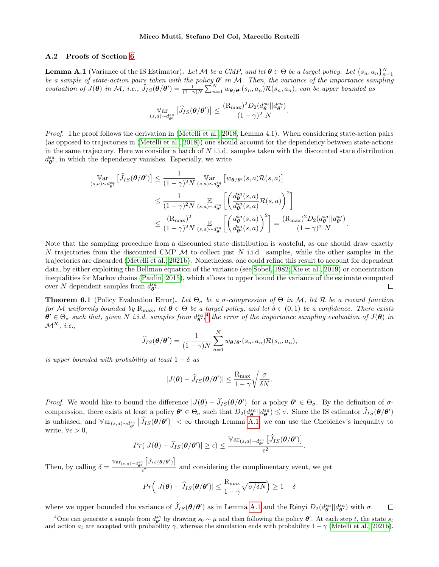#### A.2 Proofs of Section [6](#page-5-0)

<span id="page-12-1"></span>**Lemma A.1** (Variance of the IS Estimator). Let M be a CMP, and let  $\theta \in \Theta$  be a target policy. Let  $\{s_n, a_n\}_{n=1}^N$ be a sample of state-action pairs taken with the policy  $\theta'$  in M. Then, the variance of the importance sampling evaluation of  $J(\theta)$  in M, i.e.,  $\widehat{J}_{IS}(\theta/\theta') = \frac{1}{(1-\gamma)N} \sum_{n=1}^{N} w_{\theta/\theta'}(s_n, a_n) \mathcal{R}(s_n, a_n)$ , can be upper bounded as

$$
\operatorname*{Var}_{(s,a)\sim d_{\boldsymbol{\theta}'}^{sa}} \left[ \widehat{J}_{IS}(\boldsymbol{\theta}/\boldsymbol{\theta}') \right] \leq \frac{(\mathrm{R}_{\max})^2 D_2(d_{\boldsymbol{\theta}}^{sa}||d_{\boldsymbol{\theta}'}^{sa})}{(1-\gamma)^2 N}.
$$

Proof. The proof follows the derivation in [\(Metelli et al., 2018,](#page-9-2) Lemma 4.1). When considering state-action pairs (as opposed to trajectories in [\(Metelli et al., 2018\)](#page-9-2)) one should account for the dependency between state-actions in the same trajectory. Here we consider a batch of  $N$  i.i.d. samples taken with the discounted state distribution  $d_{\theta'}^{sa}$  in which the dependency vanishes. Especially, we write

$$
\operatorname*{\mathbb{V}ar}_{(s,a)\sim d_{\theta'}^{sa}} \left[ \hat{J}_{IS}(\theta/\theta') \right] \leq \frac{1}{(1-\gamma)^2 N} \operatorname*{\mathbb{V}ar}_{(s,a)\sim d_{\theta'}^{sa}} \left[ w_{\theta/\theta'}(s,a) \mathcal{R}(s,a) \right]
$$
\n
$$
\leq \frac{1}{(1-\gamma)^2 N} \operatorname*{\mathbb{E}}_{(s,a)\sim d_{\theta'}^{sa}} \left[ \left( \frac{d_{\theta}^{sa}(s,a)}{d_{\theta'}^{sa}(s,a)} \mathcal{R}(s,a) \right)^2 \right]
$$
\n
$$
\leq \frac{(R_{\max})^2}{(1-\gamma)^2 N} \operatorname*{\mathbb{E}}_{(s,a)\sim d_{\theta'}^{sa}} \left[ \left( \frac{d_{\theta}^{sa}(s,a)}{d_{\theta'}^{sa}(s,a)} \right)^2 \right] = \frac{(R_{\max})^2 D_2(d_{\theta}^{sa} || d_{\theta'}^{sa})}{(1-\gamma)^2 N}.
$$

Note that the sampling procedure from a discounted state distribution is wasteful, as one should draw exactly N trajectories from the discounted CMP  $\mathcal M$  to collect just N i.i.d. samples, while the other samples in the trajectories are discarded [\(Metelli et al., 2021b\)](#page-9-18). Nonetheless, one could refine this result to account for dependent data, by either exploiting the Bellman equation of the variance (see [Sobel, 1982;](#page-10-10) [Xie et al., 2019\)](#page-10-11) or concentration inequalities for Markov chains [\(Paulin, 2015\)](#page-9-28), which allows to upper bound the variance of the estimate computed over N dependent samples from  $d_{\theta}^{sa}$ .  $\Box$ 

**Theorem 6.1** (Policy Evaluation Error). Let  $\Theta_{\sigma}$  be a  $\sigma$ -compression of  $\Theta$  in M, let R be a reward function for M uniformly bounded by  $R_{max}$ , let  $\theta \in \Theta$  be a target policy, and let  $\delta \in (0,1)$  be a confidence. There exists  $\theta' \in \Theta_{\sigma}$  such that, given N i.i.d. samples from  $d_{\theta'}^{sa}, ^4$  $d_{\theta'}^{sa}, ^4$  the error of the importance sampling evaluation of  $J(\theta)$  in  $\mathcal{M}^{\mathcal{R}}$ , *i.e.*,

$$
\widehat{J}_{IS}(\boldsymbol{\theta}/\boldsymbol{\theta}') = \frac{1}{(1-\gamma)N} \sum_{n=1}^{N} w_{\boldsymbol{\theta}/\boldsymbol{\theta}'}(s_n, a_n) \mathcal{R}(s_n, a_n),
$$

is upper bounded with probability at least  $1 - \delta$  as

$$
|J(\boldsymbol{\theta}) - \widehat{J}_{IS}(\boldsymbol{\theta}/\boldsymbol{\theta}')| \leq \frac{\mathrm{R}_{\mathrm{max}}}{1 - \gamma} \sqrt{\frac{\sigma}{\delta N}}.
$$

*Proof.* We would like to bound the difference  $|J(\theta) - J_{IS}(\theta/\theta')|$  for a policy  $\theta' \in \Theta_{\sigma}$ . By the definition of σcompression, there exists at least a policy  $\theta' \in \Theta_{\sigma}$  such that  $D_2(d_{\theta}^{sa}||d_{\theta'}^{sa}) \leq \sigma$ . Since the IS estimator  $\widehat{J}_{IS}(\theta/\theta')$ is unbiased, and  $\mathbb{V}\text{ar}_{(s,a)\sim d_{\theta'}^{sa}}\left[\hat{J}_{IS}(\theta/\theta')\right]<\infty$  through Lemma [A.1,](#page-12-1) we can use the Chebichev's inequality to write,  $\forall \epsilon > 0$ ,

$$
Pr(|J(\boldsymbol{\theta}) - \widehat{J}_{IS}(\boldsymbol{\theta}/\boldsymbol{\theta}')| \geq \epsilon) \leq \frac{\mathbb{V}\mathrm{ar}_{(s,a)\sim d_{\boldsymbol{\theta}'}^{sa}}[\widehat{J}_{IS}(\boldsymbol{\theta}/\boldsymbol{\theta}')]}{\epsilon^2}.
$$

Then, by calling  $\delta = \frac{\text{Var}_{(s,a)\sim d_{\theta'}^{sa}}\left[\hat{J}_{IS}(\theta/\theta')\right]}{\epsilon^2}$  $\frac{1}{\epsilon^2}$  and considering the complimentary event, we get

$$
Pr(|J(\boldsymbol{\theta}) - \widehat{J}_{IS}(\boldsymbol{\theta}/\boldsymbol{\theta}')| \le \frac{R_{\max}}{1 - \gamma} \sqrt{\sigma/\delta N} \Big) \ge 1 - \delta
$$

where we upper bounded the variance of  $\hat{J}_{IS}(\theta/\theta')$  as in Lemma [A.1](#page-12-1) and the Rényi  $D_2(d_{\theta}^{sa}||d_{\theta'}^{sa})$  with  $\sigma$ .  $\Box$ 

<span id="page-12-0"></span><sup>&</sup>lt;sup>4</sup>One can generate a sample from  $d_{\theta'}^{sa}$  by drawing  $s_0 \sim \mu$  and then following the policy  $\theta'$ . At each step t, the state  $s_t$ and action  $a_t$  are accepted with probability  $\gamma$ , whereas the simulation ends with probability  $1 - \gamma$  [\(Metelli et al., 2021b\)](#page-9-18).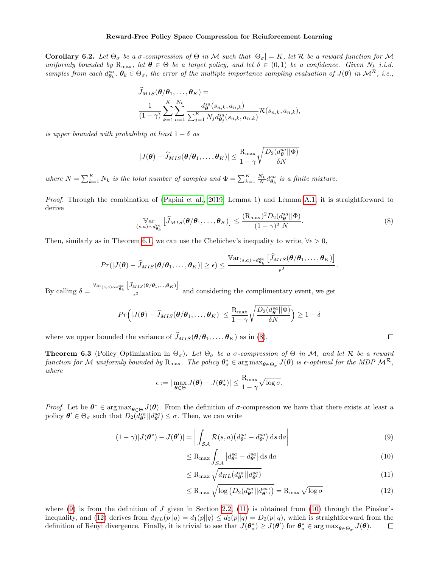**Corollary 6.2.** Let  $\Theta_{\sigma}$  be a  $\sigma$ -compression of  $\Theta$  in M such that  $|\Theta_{\sigma}| = K$ , let R be a reward function for M uniformly bounded by  $R_{\text{max}}$ , let  $\theta \in \Theta$  be a target policy, and let  $\delta \in (0,1)$  be a confidence. Given  $N_k$  i.i.d. samples from each  $d_{\theta_k}^{sa}, \theta_k \in \Theta_\sigma$ , the error of the multiple importance sampling evaluation of  $J(\theta)$  in  $\mathcal{M}^{\mathcal{R}}$ , i.e.,

$$
\widehat{J}_{MIS}(\boldsymbol{\theta}/\boldsymbol{\theta}_1, \dots, \boldsymbol{\theta}_K) =
$$
\n
$$
\frac{1}{(1-\gamma)} \sum_{k=1}^K \sum_{n=1}^{N_k} \frac{d_{\boldsymbol{\theta}}^{\{a\}}(s_{n,k}, a_{n,k})}{\sum_{j=1}^K N_j d_{\boldsymbol{\theta}_j}^{sa}(s_{n,k}, a_{n,k})} \mathcal{R}(s_{n,k}, a_{n,k}),
$$

is upper bounded with probability at least  $1 - \delta$  as

$$
|J(\boldsymbol{\theta}) - \widehat{J}_{MIS}(\boldsymbol{\theta}/\boldsymbol{\theta}_1, \dots, \boldsymbol{\theta}_K)| \leq \frac{\mathrm{R}_{\mathrm{max}}}{1 - \gamma} \sqrt{\frac{D_2(d_{\boldsymbol{\theta}}^{sa} || \Phi)}{\delta N}}
$$

where  $N = \sum_{k=1}^{K} N_k$  is the total number of samples and  $\Phi = \sum_{k=1}^{K} \frac{N_k}{N} d_{\theta_k}^{sa}$  is a finite mixture.

Proof. Through the combination of [\(Papini et al., 2019,](#page-9-3) Lemma 1) and Lemma [A.1,](#page-12-1) it is straightforward to derive

<span id="page-13-0"></span>
$$
\operatorname{Var}_{(s,a)\sim d_{\theta_k}^{sa}}\left[\widehat{J}_{MIS}(\boldsymbol{\theta}/\boldsymbol{\theta}_1,\ldots,\boldsymbol{\theta}_K)\right] \le \frac{(\mathcal{R}_{\max})^2 D_2(d_{\boldsymbol{\theta}}^{sa}||\Phi)}{(1-\gamma)^2 N}.
$$
\n(8)

Then, similarly as in Theorem [6.1,](#page-5-5) we can use the Chebichev's inequality to write,  $\forall \epsilon > 0$ ,

$$
Pr(|J(\boldsymbol{\theta}) - \widehat{J}_{MIS}(\boldsymbol{\theta}/\boldsymbol{\theta}_1, \dots, \boldsymbol{\theta}_K)| \geq \epsilon) \leq \frac{\mathbb{V}\mathrm{ar}_{(s,a)\sim d_{\boldsymbol{\theta}_k}^{sa}}\left[\widehat{J}_{MIS}(\boldsymbol{\theta}/\boldsymbol{\theta}_1, \dots, \boldsymbol{\theta}_K)\right]}{\epsilon^2}.
$$

By calling  $\delta = \frac{\text{Var}_{(s,a)\sim d_{\theta_k}^{sa}} \left[ \hat{J}_{MIS}(\theta/\theta_1, ..., \theta_K) \right]}{\epsilon^2}$  $\frac{1}{e^2}$  and considering the complimentary event, we get

$$
Pr(|J(\boldsymbol{\theta}) - \widehat{J}_{MIS}(\boldsymbol{\theta}/\boldsymbol{\theta}_1, ..., \boldsymbol{\theta}_K)| \le \frac{R_{\max}}{1 - \gamma} \sqrt{\frac{D_2(d_{\boldsymbol{\theta}}^{sa} || \boldsymbol{\Phi})}{\delta N}} \ge 1 - \delta
$$

where we upper bounded the variance of  $\widehat{J}_{MIS}(\boldsymbol{\theta}/\boldsymbol{\theta}_1, \ldots, \boldsymbol{\theta}_K)$  as in [\(8\)](#page-13-0).

**Theorem 6.3** (Policy Optimization in  $\Theta_{\sigma}$ ). Let  $\Theta_{\sigma}$  be a  $\sigma$ -compression of  $\Theta$  in M, and let  $\mathcal{R}$  be a reward function for M uniformly bounded by  $R_{\text{max}}$ . The policy  $\boldsymbol{\theta}_{\sigma}^* \in \argmax_{\boldsymbol{\theta} \in \Theta_{\sigma}} J(\boldsymbol{\theta})$  is  $\epsilon$ -optimal for the MDP  $\mathcal{M}^{\mathcal{R}}$ , where

$$
\epsilon := |\max_{\boldsymbol{\theta} \in \Theta} J(\boldsymbol{\theta}) - J(\boldsymbol{\theta}_{\sigma}^*)| \leq \frac{R_{\max}}{1 - \gamma} \sqrt{\log \sigma}.
$$

Proof. Let be  $\theta^* \in \arg \max_{\theta \in \Theta} J(\theta)$ . From the definition of  $\sigma$ -compression we have that there exists at least a policy  $\theta' \in \Theta_{\sigma}$  such that  $D_2(d_{\theta^*}^{sa}||d_{\theta'}^{sa}) \leq \sigma$ . Then, we can write

$$
(1 - \gamma)|J(\boldsymbol{\theta}^*) - J(\boldsymbol{\theta}')| = \left| \int_{\mathcal{SA}} \mathcal{R}(s, a) \left( d_{\boldsymbol{\theta}^*}^{sa} - d_{\boldsymbol{\theta}'}^{sa} \right) \, \mathrm{d}s \, \mathrm{d}a \right| \tag{9}
$$

<span id="page-13-3"></span><span id="page-13-2"></span><span id="page-13-1"></span>
$$
\leq R_{\max} \int_{\mathcal{S}\mathcal{A}} \left| d_{\theta^*}^{sa} - d_{\theta'}^{sa} \right| ds \, da \tag{10}
$$

$$
\leq R_{\max} \sqrt{d_{KL}(d_{\theta^*}^{sa}||d_{\theta'}^{sa})} \tag{11}
$$

<span id="page-13-4"></span>
$$
\leq R_{\max} \sqrt{\log \left( D_2(d_{\theta^*}^{sa} || d_{\theta'}^{sa}) \right)} = R_{\max} \sqrt{\log \sigma} \tag{12}
$$

where  $(9)$  is from the definition of J given in Section [2.2,](#page-1-0)  $(11)$  is obtained from  $(10)$  through the Pinsker's inequality, and [\(12\)](#page-13-4) derives from  $d_{KL}(p||q) = d_1(p||q) \leq d_2(p||q) = D_2(p||q)$ , which is straightforward from the definition of Rényi divergence. Finally, it is trivial to see that  $J(\theta_{\sigma}^*) \geq J(\theta')$  for  $\theta_{\sigma}^* \in \arg \max_{\theta \in \Theta_{\sigma}} J(\theta)$ .  $\Box$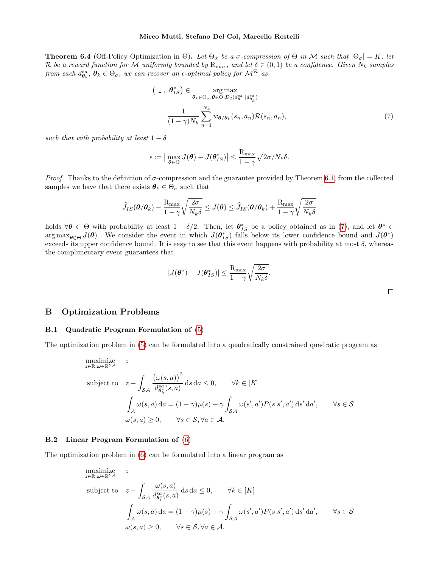**Theorem 6.4** (Off-Policy Optimization in Θ). Let  $\Theta_{\sigma}$  be a  $\sigma$ -compression of  $\Theta$  in M such that  $|\Theta_{\sigma}| = K$ , let R be a reward function for M uniformly bounded by  $R_{\text{max}}$ , and let  $\delta \in (0,1)$  be a confidence. Given  $N_k$  samples from each  $d^{sa}_{\bm{\theta}_k},\,\bm{\theta}_k\in\Theta_\sigma,$  we can recover an  $\epsilon$ -optimal policy for  $\mathcal{M^R}$  as

$$
\left(\begin{array}{cc} \n\end{array}\right) \in \operatorname*{arg\,max}_{\theta_k \in \Theta_{\sigma}, \theta \in \Theta: D_2(d_{\theta}^{sa} || d_{\theta_k}^{sa})
$$
\n
$$
\frac{1}{(1 - \gamma)N_k} \sum_{n=1}^{N_k} w_{\theta/\theta_k}(s_n, a_n) \mathcal{R}(s_n, a_n),\tag{7}
$$

such that with probability at least  $1 - \delta$ 

$$
\epsilon := \big|\max_{\boldsymbol{\theta} \in \Theta} J(\boldsymbol{\theta}) - J(\boldsymbol{\theta}_{IS}^*)\big| \leq \frac{R_{\max}}{1 - \gamma} \sqrt{2\sigma/N_k\delta}.
$$

*Proof.* Thanks to the definition of  $\sigma$ -compression and the guarantee provided by Theorem [6.1,](#page-5-5) from the collected samples we have that there exists  $\theta_k \in \Theta_{\sigma}$  such that

$$
\widehat{J}_{IS}(\boldsymbol{\theta}/\boldsymbol{\theta}_k)-\frac{\mathrm{R}_{\max}}{1-\gamma}\sqrt{\frac{2\sigma}{N_k\delta}}\leq J(\boldsymbol{\theta})\leq \widehat{J}_{IS}(\boldsymbol{\theta}/\boldsymbol{\theta}_k)+\frac{\mathrm{R}_{\max}}{1-\gamma}\sqrt{\frac{2\sigma}{N_k\delta}}
$$

holds  $\forall \theta \in \Theta$  with probability at least  $1 - \delta/2$ . Then, let  $\theta_{IS}^*$  be a policy obtained as in [\(7\)](#page-6-3), and let  $\theta^* \in$  $\arg \max_{\theta \in \Theta} J(\theta)$ . We consider the event in which  $J(\theta_{IS}^*)$  falls below its lower confidence bound and  $J(\theta^*)$ exceeds its upper confidence bound. It is easy to see that this event happens with probability at most  $\delta$ , whereas the complimentary event guarantees that

$$
|J(\boldsymbol{\theta}^*) - J(\boldsymbol{\theta}_{IS}^*)| \leq \frac{\mathrm{R}_{\mathrm{max}}}{1 - \gamma} \sqrt{\frac{2\sigma}{N_k \delta}}.
$$

### B Optimization Problems

#### <span id="page-14-0"></span>B.1 Quadratic Program Formulation of [\(5\)](#page-5-6)

The optimization problem in [\(5\)](#page-5-6) can be formulated into a quadratically constrained quadratic program as

maximize  
\n
$$
z \leq \mathbb{R}, \omega \in \mathbb{R}^{S,A}
$$
\nsubject to  
\n
$$
z - \int_{\mathcal{SA}} \frac{(\omega(s, a))^2}{d_{\theta_k}^{sa}(s, a)} ds da \leq 0, \qquad \forall k \in [K]
$$
\n
$$
\int_{\mathcal{A}} \omega(s, a) da = (1 - \gamma)\mu(s) + \gamma \int_{\mathcal{SA}} \omega(s', a') P(s|s', a') ds' da', \qquad \forall s \in \mathcal{S}
$$
\n
$$
\omega(s, a) \geq 0, \qquad \forall s \in \mathcal{S}, \forall a \in \mathcal{A}.
$$

#### <span id="page-14-1"></span>B.2 Linear Program Formulation of [\(6\)](#page-5-2)

The optimization problem in [\(6\)](#page-5-2) can be formulated into a linear program as

maximize  
\n
$$
z \in \mathbb{R}, \omega \in \mathbb{R}^{SA}
$$
\nsubject to  
\n
$$
z - \int_{\mathcal{SA}} \frac{\omega(s, a)}{d_{\theta_k^s}^a(s, a)} ds da \le 0, \quad \forall k \in [K]
$$
\n
$$
\int_{\mathcal{A}} \omega(s, a) da = (1 - \gamma)\mu(s) + \gamma \int_{\mathcal{SA}} \omega(s', a') P(s|s', a') ds' da', \quad \forall s \in \mathcal{S}
$$
\n
$$
\omega(s, a) \ge 0, \quad \forall s \in \mathcal{S}, \forall a \in \mathcal{A}.
$$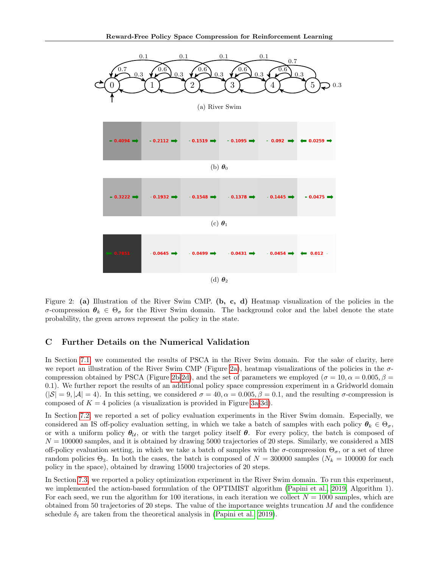<span id="page-15-1"></span>

Figure 2: (a) Illustration of the River Swim CMP. (b, c, d) Heatmap visualization of the policies in the σ-compression  $θ_k ∈ Θσ$  for the River Swim domain. The background color and the label denote the state probability, the green arrows represent the policy in the state.

## <span id="page-15-0"></span>C Further Details on the Numerical Validation

In Section [7.1,](#page-7-0) we commented the results of PSCA in the River Swim domain. For the sake of clarity, here we report an illustration of the River Swim CMP (Figure [2a\)](#page-15-1), heatmap visualizations of the policies in the  $\sigma$ -compression obtained by PSCA (Figure [2b-2d\)](#page-15-1), and the set of parameters we employed ( $\sigma = 10, \alpha = 0.005, \beta =$ 0.1). We further report the results of an additional policy space compression experiment in a Gridworld domain  $(|\mathcal{S}| = 9, |\mathcal{A}| = 4)$ . In this setting, we considered  $\sigma = 40, \alpha = 0.005, \beta = 0.1$ , and the resulting  $\sigma$ -compression is composed of  $K = 4$  policies (a visualization is provided in Figure [3a-3d\)](#page-16-0).

In Section [7.2,](#page-7-1) we reported a set of policy evaluation experiments in the River Swim domain. Especially, we considered an IS off-policy evaluation setting, in which we take a batch of samples with each policy  $\theta_k \in \Theta_{\sigma}$ , or with a uniform policy  $\theta_{\mathcal{U}}$ , or with the target policy itself  $\theta$ . For every policy, the batch is composed of  $N = 100000$  samples, and it is obtained by drawing 5000 trajectories of 20 steps. Similarly, we considered a MIS off-policy evaluation setting, in which we take a batch of samples with the  $\sigma$ -compression  $\Theta_{\sigma}$ , or a set of three random policies  $\Theta_3$ . In both the cases, the batch is composed of  $N = 300000$  samples  $(N_k = 100000$  for each policy in the space), obtained by drawing 15000 trajectories of 20 steps.

In Section [7.3,](#page-8-0) we reported a policy optimization experiment in the River Swim domain. To run this experiment, we implemented the action-based formulation of the OPTIMIST algorithm [\(Papini et al., 2019,](#page-9-3) Algorithm 1). For each seed, we run the algorithm for 100 iterations, in each iteration we collect  $N = 1000$  samples, which are obtained from 50 trajectories of 20 steps. The value of the importance weights truncation  $M$  and the confidence schedule  $\delta_t$  are taken from the theoretical analysis in [\(Papini et al., 2019\)](#page-9-3).